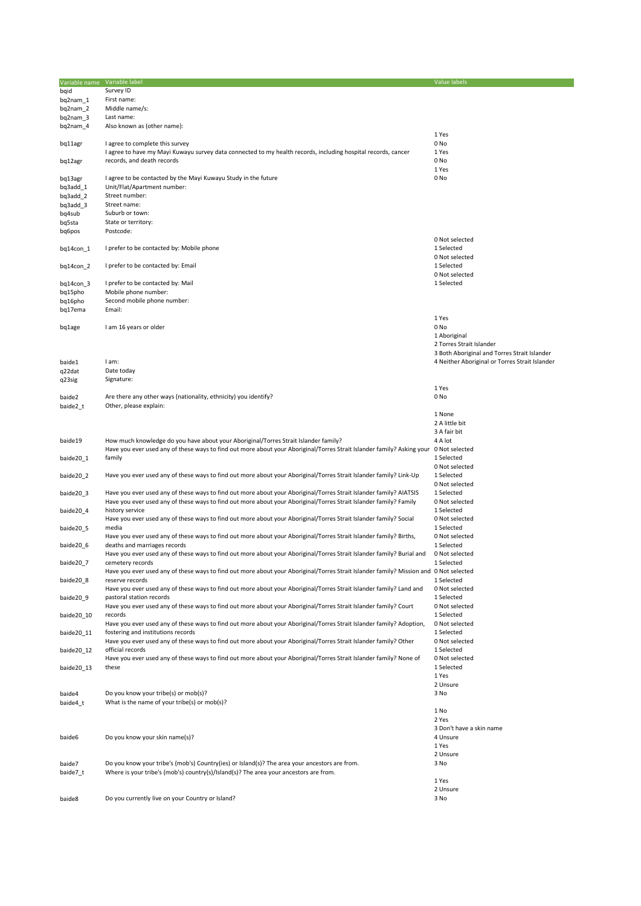| Variable name Variable label |                                                                                                                                       | <b>Value labels</b>                            |
|------------------------------|---------------------------------------------------------------------------------------------------------------------------------------|------------------------------------------------|
|                              | Survey ID                                                                                                                             |                                                |
| bqid                         |                                                                                                                                       |                                                |
| bq2nam 1                     | First name:                                                                                                                           |                                                |
| bq2nam_2                     | Middle name/s:                                                                                                                        |                                                |
| bq2nam_3                     | Last name:                                                                                                                            |                                                |
| bq2nam_4                     | Also known as (other name):                                                                                                           |                                                |
|                              |                                                                                                                                       | 1 Yes                                          |
| bq11agr                      | I agree to complete this survey                                                                                                       | 0 No                                           |
|                              | I agree to have my Mayi Kuwayu survey data connected to my health records, including hospital records, cancer                         | 1 Yes                                          |
| bq12agr                      | records, and death records                                                                                                            | 0 No                                           |
|                              |                                                                                                                                       | 1 Yes                                          |
| bq13agr                      | I agree to be contacted by the Mayi Kuwayu Study in the future                                                                        | 0 No                                           |
| bq3add_1                     | Unit/Flat/Apartment number:                                                                                                           |                                                |
| bq3add_2                     | Street number:                                                                                                                        |                                                |
| bq3add_3                     | Street name:                                                                                                                          |                                                |
| bq4sub                       | Suburb or town:                                                                                                                       |                                                |
| bq5sta                       | State or territory:<br>Postcode:                                                                                                      |                                                |
| bq6pos                       |                                                                                                                                       | 0 Not selected                                 |
|                              |                                                                                                                                       |                                                |
| bq14con_1                    | I prefer to be contacted by: Mobile phone                                                                                             | 1 Selected                                     |
|                              |                                                                                                                                       | 0 Not selected                                 |
| bq14con_2                    | I prefer to be contacted by: Email                                                                                                    | 1 Selected                                     |
|                              |                                                                                                                                       | 0 Not selected                                 |
| bq14con_3                    | I prefer to be contacted by: Mail                                                                                                     | 1 Selected                                     |
| bq15pho                      | Mobile phone number:                                                                                                                  |                                                |
| bq16pho                      | Second mobile phone number:                                                                                                           |                                                |
| bq17ema                      | Email:                                                                                                                                |                                                |
|                              |                                                                                                                                       | 1 Yes                                          |
| bq1age                       | I am 16 years or older                                                                                                                | 0 No                                           |
|                              |                                                                                                                                       | 1 Aboriginal                                   |
|                              |                                                                                                                                       | 2 Torres Strait Islander                       |
|                              |                                                                                                                                       | 3 Both Aboriginal and Torres Strait Islander   |
| baide1                       | I am:                                                                                                                                 | 4 Neither Aboriginal or Torres Strait Islander |
| q22dat                       | Date today                                                                                                                            |                                                |
| q23sig                       | Signature:                                                                                                                            |                                                |
|                              |                                                                                                                                       | 1 Yes                                          |
| baide2                       | Are there any other ways (nationality, ethnicity) you identify?                                                                       | 0 No                                           |
| baide2_t                     | Other, please explain:                                                                                                                |                                                |
|                              |                                                                                                                                       | 1 None                                         |
|                              |                                                                                                                                       | 2 A little bit                                 |
|                              |                                                                                                                                       | 3 A fair bit                                   |
| baide19                      | How much knowledge do you have about your Aboriginal/Torres Strait Islander family?                                                   | 4 A lot                                        |
|                              | Have you ever used any of these ways to find out more about your Aboriginal/Torres Strait Islander family? Asking your 0 Not selected |                                                |
| baide20_1                    | family                                                                                                                                | 1 Selected                                     |
|                              |                                                                                                                                       | 0 Not selected                                 |
| baide20 2                    | Have you ever used any of these ways to find out more about your Aboriginal/Torres Strait Islander family? Link-Up                    | 1 Selected                                     |
|                              |                                                                                                                                       | 0 Not selected                                 |
| baide20 3                    | Have you ever used any of these ways to find out more about your Aboriginal/Torres Strait Islander family? AIATSIS                    | 1 Selected                                     |
|                              | Have you ever used any of these ways to find out more about your Aboriginal/Torres Strait Islander family? Family                     | 0 Not selected                                 |
| baide20_4                    | history service                                                                                                                       | 1 Selected                                     |
|                              | Have you ever used any of these ways to find out more about your Aboriginal/Torres Strait Islander family? Social                     | 0 Not selected                                 |
| baide20_5                    | media                                                                                                                                 | 1 Selected                                     |
|                              | Have you ever used any of these ways to find out more about your Aboriginal/Torres Strait Islander family? Births,                    | 0 Not selected                                 |
| baide20 6                    | deaths and marriages records                                                                                                          | 1 Selected                                     |
|                              | Have you ever used any of these ways to find out more about your Aboriginal/Torres Strait Islander family? Burial and                 | 0 Not selected                                 |
| baide20_7                    | cemetery records                                                                                                                      | 1 Selected                                     |
|                              | Have you ever used any of these ways to find out more about your Aboriginal/Torres Strait Islander family? Mission and 0 Not selected |                                                |
| baide20 8                    | reserve records                                                                                                                       | 1 Selected                                     |
|                              | Have you ever used any of these ways to find out more about your Aboriginal/Torres Strait Islander family? Land and                   | 0 Not selected                                 |
| baide20 9                    | pastoral station records                                                                                                              | 1 Selected                                     |
|                              | Have you ever used any of these ways to find out more about your Aboriginal/Torres Strait Islander family? Court                      | 0 Not selected                                 |
| baide20 10                   | records                                                                                                                               | 1 Selected                                     |
|                              | Have you ever used any of these ways to find out more about your Aboriginal/Torres Strait Islander family? Adoption,                  | 0 Not selected                                 |
| baide20_11                   | fostering and institutions records                                                                                                    | 1 Selected                                     |
|                              | Have you ever used any of these ways to find out more about your Aboriginal/Torres Strait Islander family? Other                      | 0 Not selected                                 |
| baide20 12                   | official records                                                                                                                      | 1 Selected                                     |
|                              | Have you ever used any of these ways to find out more about your Aboriginal/Torres Strait Islander family? None of                    | 0 Not selected                                 |
| baide20 13                   | these                                                                                                                                 | 1 Selected                                     |
|                              |                                                                                                                                       | 1 Yes                                          |
|                              |                                                                                                                                       | 2 Unsure                                       |
| baide4                       | Do you know your tribe(s) or mob(s)?                                                                                                  | 3 No                                           |
| baide4_t                     | What is the name of your tribe(s) or mob(s)?                                                                                          |                                                |
|                              |                                                                                                                                       | 1 No                                           |
|                              |                                                                                                                                       | 2 Yes                                          |
|                              |                                                                                                                                       | 3 Don't have a skin name                       |
| baide6                       | Do you know your skin name(s)?                                                                                                        | 4 Unsure                                       |
|                              |                                                                                                                                       | 1 Yes                                          |
|                              |                                                                                                                                       | 2 Unsure                                       |
| baide7                       | Do you know your tribe's (mob's) Country(ies) or Island(s)? The area your ancestors are from.                                         | 3 No                                           |
| baide7 t                     | Where is your tribe's (mob's) country(s)/Island(s)? The area your ancestors are from.                                                 |                                                |
|                              |                                                                                                                                       | 1 Yes                                          |
|                              |                                                                                                                                       | 2 Unsure                                       |
| baide8                       | Do you currently live on your Country or Island?                                                                                      | 3 No                                           |
|                              |                                                                                                                                       |                                                |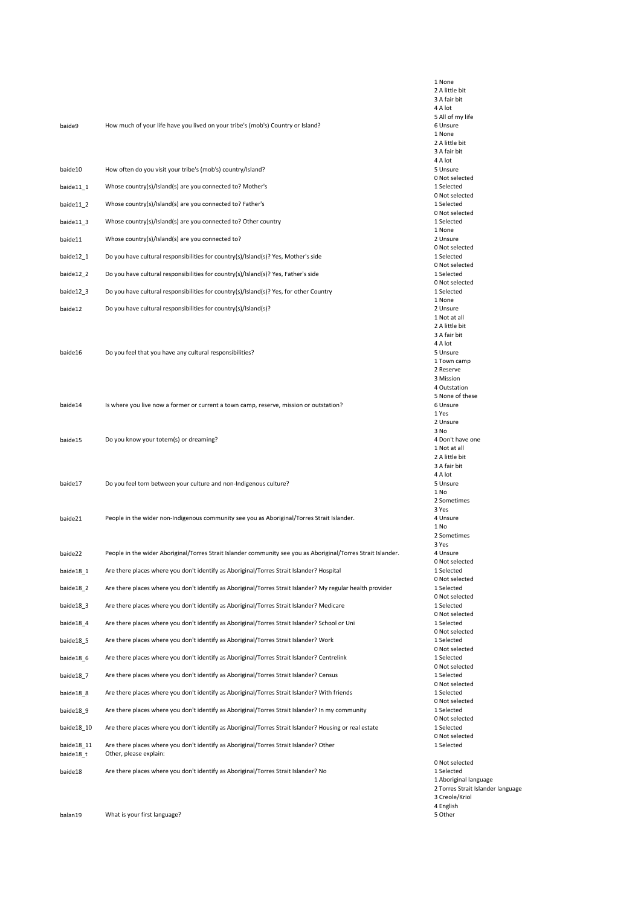| baide9                  | How much of your life have you lived on your tribe's (mob's) Country or Island?                                 |
|-------------------------|-----------------------------------------------------------------------------------------------------------------|
| baide10                 | How often do you visit your tribe's (mob's) country/Island?                                                     |
| baide11_1               | Whose country(s)/Island(s) are you connected to? Mother's                                                       |
| baide11_2               | Whose country(s)/Island(s) are you connected to? Father's                                                       |
| baide11_3               | Whose country(s)/Island(s) are you connected to? Other country                                                  |
| baide11                 | Whose country(s)/Island(s) are you connected to?                                                                |
| baide12_1               | Do you have cultural responsibilities for country(s)/Island(s)? Yes, Mother's side                              |
| baide12_2               | Do you have cultural responsibilities for country(s)/Island(s)? Yes, Father's side                              |
| baide12_3               | Do you have cultural responsibilities for country(s)/Island(s)? Yes, for other Country                          |
| baide12                 | Do you have cultural responsibilities for country(s)/Island(s)?                                                 |
| baide16                 | Do you feel that you have any cultural responsibilities?                                                        |
| baide14                 | Is where you live now a former or current a town camp, reserve, mission or outstation?                          |
| baide15                 | Do you know your totem(s) or dreaming?                                                                          |
| baide17                 | Do you feel torn between your culture and non-Indigenous culture?                                               |
| baide21                 | People in the wider non-Indigenous community see you as Aboriginal/Torres Strait Islander.                      |
| baide22                 | People in the wider Aboriginal/Torres Strait Islander community see you as Aboriginal/Torres Strait Islander.   |
| baide18 1               | Are there places where you don't identify as Aboriginal/Torres Strait Islander? Hospital                        |
| baide18_2               | Are there places where you don't identify as Aboriginal/Torres Strait Islander? My regular health provider      |
| baide18_3               | Are there places where you don't identify as Aboriginal/Torres Strait Islander? Medicare                        |
| baide18 4               | Are there places where you don't identify as Aboriginal/Torres Strait Islander? School or Uni                   |
| baide18_5               | Are there places where you don't identify as Aboriginal/Torres Strait Islander? Work                            |
| baide18_6               | Are there places where you don't identify as Aboriginal/Torres Strait Islander? Centrelink                      |
| baide18_7               | Are there places where you don't identify as Aboriginal/Torres Strait Islander? Census                          |
| baide18_8               | Are there places where you don't identify as Aboriginal/Torres Strait Islander? With friends                    |
| baide18 9               | Are there places where you don't identify as Aboriginal/Torres Strait Islander? In my community                 |
| baide18_10              | Are there places where you don't identify as Aboriginal/Torres Strait Islander? Housing or real estate          |
| baide18_11<br>baide18_t | Are there places where you don't identify as Aboriginal/Torres Strait Islander? Other<br>Other, please explain: |
| baide18                 | Are there places where you don't identify as Aboriginal/Torres Strait Islander? No                              |

1 None 2 A little bit 3 A fair bit 4 A lot 5 All of my life 6 Unsure 1 None 2 A little bit 3 A fair bit  $4 A lot$ 5 Unsure 0 Not selected 1 Selected 0 Not selected 1 Selected 0 Not selected 1 Selected 1 None 2 Unsure 0 Not selected 1 Selected 0 Not selected 1 Selected 0 Not selected 1 Selected 1 None 2 Unsure 1 Not at all 2 A little bit 3 A fair bit 4 A lot 5 Unsure 1 Town camp 2 Reserve 3 Mission 4 Outstation 5 None of these 6 Unsure 1 Yes 2 Unsure 3 No 4 Don't have one 1 Not at all 2 A little bit 3 A fair bit 4 A lot 5 Unsure 1 No 2 Sometimes 3 Yes 4 Unsure 1 No 2 Sometimes 3 Yes 4 Unsure 0 Not selected 1 Selected 0 Not selected 1 Selected 0 Not selected 1 Selected 0 Not selected 1 Selected 0 Not selected 1 Selected 0 Not selected 1 Selected 0 Not selected 1 Selected 0 Not selected 1 Selected 0 Not selected 1 Selected 0 Not selected 1 Selected 0 Not selected 1 Selected 0 Not selected 1 Selected 1 Aboriginal language 2 Torres Strait Islander language 3 Creole/Kriol 4 English

5 Other

balan19 What is your first language?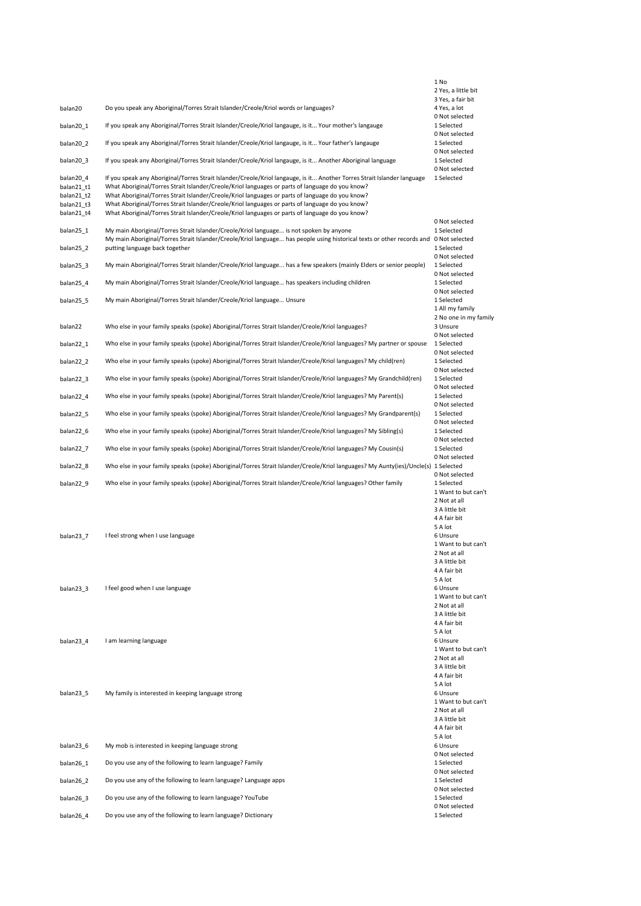|                                                                   |                                                                                                                                                                                                                                                                                                                                                                                                                                                                                                                                     | 1 No                                                   |
|-------------------------------------------------------------------|-------------------------------------------------------------------------------------------------------------------------------------------------------------------------------------------------------------------------------------------------------------------------------------------------------------------------------------------------------------------------------------------------------------------------------------------------------------------------------------------------------------------------------------|--------------------------------------------------------|
|                                                                   |                                                                                                                                                                                                                                                                                                                                                                                                                                                                                                                                     | 2 Yes, a little bit                                    |
| balan20                                                           | Do you speak any Aboriginal/Torres Strait Islander/Creole/Kriol words or languages?                                                                                                                                                                                                                                                                                                                                                                                                                                                 | 3 Yes, a fair bit<br>4 Yes, a lot                      |
| balan20 1                                                         | If you speak any Aboriginal/Torres Strait Islander/Creole/Kriol langauge, is it Your mother's langauge                                                                                                                                                                                                                                                                                                                                                                                                                              | 0 Not selected<br>1 Selected                           |
| balan20 2                                                         | If you speak any Aboriginal/Torres Strait Islander/Creole/Kriol langauge, is it Your father's langauge                                                                                                                                                                                                                                                                                                                                                                                                                              | 0 Not selected<br>1 Selected                           |
|                                                                   |                                                                                                                                                                                                                                                                                                                                                                                                                                                                                                                                     | 0 Not selected                                         |
| balan20 3                                                         | If you speak any Aboriginal/Torres Strait Islander/Creole/Kriol langauge, is it Another Aboriginal language                                                                                                                                                                                                                                                                                                                                                                                                                         | 1 Selected<br>0 Not selected                           |
| balan20 4<br>balan21 t1<br>balan21 t2<br>balan21 t3<br>balan21_t4 | If you speak any Aboriginal/Torres Strait Islander/Creole/Kriol langauge, is it Another Torres Strait Islander language<br>What Aboriginal/Torres Strait Islander/Creole/Kriol languages or parts of language do you know?<br>What Aboriginal/Torres Strait Islander/Creole/Kriol languages or parts of language do you know?<br>What Aboriginal/Torres Strait Islander/Creole/Kriol languages or parts of language do you know?<br>What Aboriginal/Torres Strait Islander/Creole/Kriol languages or parts of language do you know? | 1 Selected                                             |
|                                                                   |                                                                                                                                                                                                                                                                                                                                                                                                                                                                                                                                     | 0 Not selected                                         |
| balan25 1                                                         | My main Aboriginal/Torres Strait Islander/Creole/Kriol language is not spoken by anyone<br>My main Aboriginal/Torres Strait Islander/Creole/Kriol language has people using historical texts or other records and 0 Not selected                                                                                                                                                                                                                                                                                                    | 1 Selected<br>1 Selected                               |
| balan25 2                                                         | putting language back together                                                                                                                                                                                                                                                                                                                                                                                                                                                                                                      | 0 Not selected                                         |
| balan25 3                                                         | My main Aboriginal/Torres Strait Islander/Creole/Kriol language has a few speakers (mainly Elders or senior people)                                                                                                                                                                                                                                                                                                                                                                                                                 | 1 Selected<br>0 Not selected                           |
| balan25_4                                                         | My main Aboriginal/Torres Strait Islander/Creole/Kriol language has speakers including children                                                                                                                                                                                                                                                                                                                                                                                                                                     | 1 Selected<br>0 Not selected                           |
| balan25 5                                                         | My main Aboriginal/Torres Strait Islander/Creole/Kriol language Unsure                                                                                                                                                                                                                                                                                                                                                                                                                                                              | 1 Selected<br>1 All my family<br>2 No one in my family |
| balan22                                                           | Who else in your family speaks (spoke) Aboriginal/Torres Strait Islander/Creole/Kriol languages?                                                                                                                                                                                                                                                                                                                                                                                                                                    | 3 Unsure                                               |
| balan22 1                                                         | Who else in your family speaks (spoke) Aboriginal/Torres Strait Islander/Creole/Kriol languages? My partner or spouse                                                                                                                                                                                                                                                                                                                                                                                                               | 0 Not selected<br>1 Selected                           |
| balan22 2                                                         | Who else in your family speaks (spoke) Aboriginal/Torres Strait Islander/Creole/Kriol languages? My child(ren)                                                                                                                                                                                                                                                                                                                                                                                                                      | 0 Not selected<br>1 Selected                           |
| balan22 3                                                         | Who else in your family speaks (spoke) Aboriginal/Torres Strait Islander/Creole/Kriol languages? My Grandchild(ren)                                                                                                                                                                                                                                                                                                                                                                                                                 | 0 Not selected<br>1 Selected                           |
| balan22 4                                                         | Who else in your family speaks (spoke) Aboriginal/Torres Strait Islander/Creole/Kriol languages? My Parent(s)                                                                                                                                                                                                                                                                                                                                                                                                                       | 0 Not selected<br>1 Selected                           |
| balan22 <sub>5</sub>                                              | Who else in your family speaks (spoke) Aboriginal/Torres Strait Islander/Creole/Kriol languages? My Grandparent(s)                                                                                                                                                                                                                                                                                                                                                                                                                  | 0 Not selected<br>1 Selected                           |
| balan22_6                                                         | Who else in your family speaks (spoke) Aboriginal/Torres Strait Islander/Creole/Kriol languages? My Sibling(s)                                                                                                                                                                                                                                                                                                                                                                                                                      | 0 Not selected<br>1 Selected<br>0 Not selected         |
| balan22 7                                                         | Who else in your family speaks (spoke) Aboriginal/Torres Strait Islander/Creole/Kriol languages? My Cousin(s)                                                                                                                                                                                                                                                                                                                                                                                                                       | 1 Selected                                             |
| balan22 8                                                         | Who else in your family speaks (spoke) Aboriginal/Torres Strait Islander/Creole/Kriol languages? My Aunty(ies)/Uncle(s) 1 Selected                                                                                                                                                                                                                                                                                                                                                                                                  | 0 Not selected                                         |
| balan22 9                                                         | Who else in your family speaks (spoke) Aboriginal/Torres Strait Islander/Creole/Kriol languages? Other family                                                                                                                                                                                                                                                                                                                                                                                                                       | 0 Not selected<br>1 Selected                           |
|                                                                   |                                                                                                                                                                                                                                                                                                                                                                                                                                                                                                                                     | 1 Want to but can't<br>2 Not at all                    |
|                                                                   |                                                                                                                                                                                                                                                                                                                                                                                                                                                                                                                                     | 3 A little bit<br>4 A fair bit                         |
|                                                                   |                                                                                                                                                                                                                                                                                                                                                                                                                                                                                                                                     | 5 A lot                                                |
| balan23 7                                                         | I feel strong when I use language                                                                                                                                                                                                                                                                                                                                                                                                                                                                                                   | 6 Unsure<br>1 Want to but can't                        |
|                                                                   |                                                                                                                                                                                                                                                                                                                                                                                                                                                                                                                                     | 2 Not at all<br>3 A little bit                         |
|                                                                   |                                                                                                                                                                                                                                                                                                                                                                                                                                                                                                                                     | 4 A fair bit                                           |
| balan23 3                                                         | I feel good when I use language                                                                                                                                                                                                                                                                                                                                                                                                                                                                                                     | 5 A lot<br>6 Unsure                                    |
|                                                                   |                                                                                                                                                                                                                                                                                                                                                                                                                                                                                                                                     | 1 Want to but can't                                    |
|                                                                   |                                                                                                                                                                                                                                                                                                                                                                                                                                                                                                                                     | 2 Not at all<br>3 A little bit                         |
|                                                                   |                                                                                                                                                                                                                                                                                                                                                                                                                                                                                                                                     | 4 A fair bit<br>5 A lot                                |
| balan23_4                                                         | I am learning language                                                                                                                                                                                                                                                                                                                                                                                                                                                                                                              | 6 Unsure                                               |
|                                                                   |                                                                                                                                                                                                                                                                                                                                                                                                                                                                                                                                     | 1 Want to but can't<br>2 Not at all                    |
|                                                                   |                                                                                                                                                                                                                                                                                                                                                                                                                                                                                                                                     | 3 A little bit                                         |
|                                                                   |                                                                                                                                                                                                                                                                                                                                                                                                                                                                                                                                     | 4 A fair bit<br>5 A lot                                |
| balan23 5                                                         | My family is interested in keeping language strong                                                                                                                                                                                                                                                                                                                                                                                                                                                                                  | 6 Unsure<br>1 Want to but can't                        |
|                                                                   |                                                                                                                                                                                                                                                                                                                                                                                                                                                                                                                                     | 2 Not at all                                           |
|                                                                   |                                                                                                                                                                                                                                                                                                                                                                                                                                                                                                                                     | 3 A little bit<br>4 A fair bit                         |
| balan23_6                                                         | My mob is interested in keeping language strong                                                                                                                                                                                                                                                                                                                                                                                                                                                                                     | 5 A lot<br>6 Unsure                                    |
|                                                                   |                                                                                                                                                                                                                                                                                                                                                                                                                                                                                                                                     | 0 Not selected                                         |
| balan26_1                                                         | Do you use any of the following to learn language? Family                                                                                                                                                                                                                                                                                                                                                                                                                                                                           | 1 Selected<br>0 Not selected                           |
| balan26 2                                                         | Do you use any of the following to learn language? Language apps                                                                                                                                                                                                                                                                                                                                                                                                                                                                    | 1 Selected<br>0 Not selected                           |
| balan26_3                                                         | Do you use any of the following to learn language? YouTube                                                                                                                                                                                                                                                                                                                                                                                                                                                                          | 1 Selected<br>0 Not selected                           |
| balan26_4                                                         | Do you use any of the following to learn language? Dictionary                                                                                                                                                                                                                                                                                                                                                                                                                                                                       | 1 Selected                                             |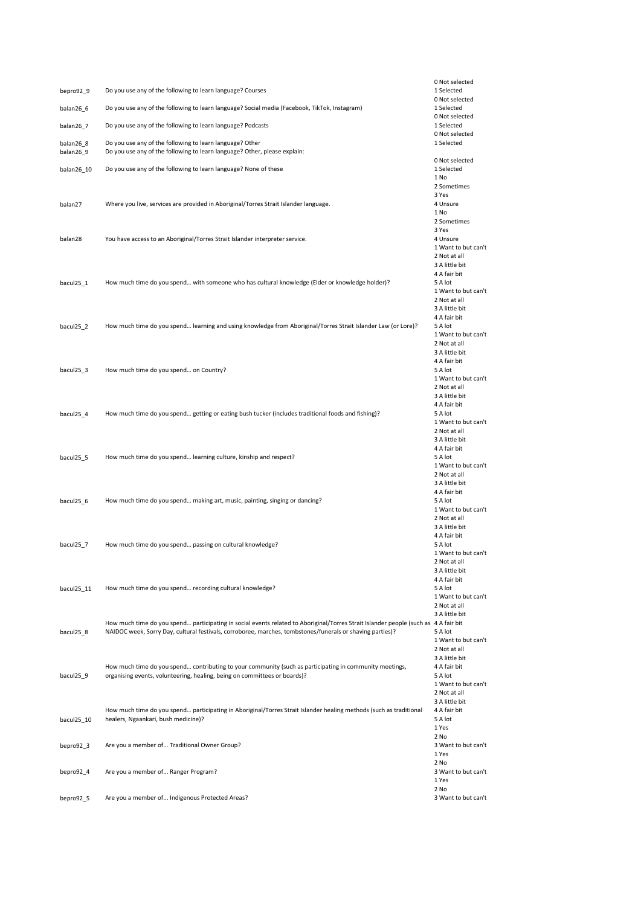|            |                                                                                                                                                                                                                                                  | 0 Not selected                      |
|------------|--------------------------------------------------------------------------------------------------------------------------------------------------------------------------------------------------------------------------------------------------|-------------------------------------|
| bepro92_9  | Do you use any of the following to learn language? Courses                                                                                                                                                                                       | 1 Selected<br>0 Not selected        |
| balan26_6  | Do you use any of the following to learn language? Social media (Facebook, TikTok, Instagram)                                                                                                                                                    | 1 Selected                          |
|            |                                                                                                                                                                                                                                                  | 0 Not selected                      |
| balan26_7  | Do you use any of the following to learn language? Podcasts                                                                                                                                                                                      | 1 Selected<br>0 Not selected        |
| balan26 8  | Do you use any of the following to learn language? Other                                                                                                                                                                                         | 1 Selected                          |
| balan26_9  | Do you use any of the following to learn language? Other, please explain:                                                                                                                                                                        |                                     |
|            |                                                                                                                                                                                                                                                  | 0 Not selected                      |
| balan26_10 | Do you use any of the following to learn language? None of these                                                                                                                                                                                 | 1 Selected                          |
|            |                                                                                                                                                                                                                                                  | 1 No<br>2 Sometimes                 |
|            |                                                                                                                                                                                                                                                  | 3 Yes                               |
| balan27    | Where you live, services are provided in Aboriginal/Torres Strait Islander language.                                                                                                                                                             | 4 Unsure                            |
|            |                                                                                                                                                                                                                                                  | 1 No                                |
|            |                                                                                                                                                                                                                                                  | 2 Sometimes<br>3 Yes                |
| balan28    | You have access to an Aboriginal/Torres Strait Islander interpreter service.                                                                                                                                                                     | 4 Unsure                            |
|            |                                                                                                                                                                                                                                                  | 1 Want to but can't                 |
|            |                                                                                                                                                                                                                                                  | 2 Not at all                        |
|            |                                                                                                                                                                                                                                                  | 3 A little bit                      |
| bacul25_1  | How much time do you spend with someone who has cultural knowledge (Elder or knowledge holder)?                                                                                                                                                  | 4 A fair bit<br>5 A lot             |
|            |                                                                                                                                                                                                                                                  | 1 Want to but can't                 |
|            |                                                                                                                                                                                                                                                  | 2 Not at all                        |
|            |                                                                                                                                                                                                                                                  | 3 A little bit                      |
|            |                                                                                                                                                                                                                                                  | 4 A fair bit                        |
| bacul25_2  | How much time do you spend learning and using knowledge from Aboriginal/Torres Strait Islander Law (or Lore)?                                                                                                                                    | 5 A lot<br>1 Want to but can't      |
|            |                                                                                                                                                                                                                                                  | 2 Not at all                        |
|            |                                                                                                                                                                                                                                                  | 3 A little bit                      |
|            |                                                                                                                                                                                                                                                  | 4 A fair bit                        |
| bacul25 3  | How much time do you spend on Country?                                                                                                                                                                                                           | 5 A lot                             |
|            |                                                                                                                                                                                                                                                  | 1 Want to but can't<br>2 Not at all |
|            |                                                                                                                                                                                                                                                  | 3 A little bit                      |
|            |                                                                                                                                                                                                                                                  | 4 A fair bit                        |
| bacul25_4  | How much time do you spend getting or eating bush tucker (includes traditional foods and fishing)?                                                                                                                                               | 5 A lot                             |
|            |                                                                                                                                                                                                                                                  | 1 Want to but can't                 |
|            |                                                                                                                                                                                                                                                  | 2 Not at all<br>3 A little bit      |
|            |                                                                                                                                                                                                                                                  | 4 A fair bit                        |
| bacul25_5  | How much time do you spend learning culture, kinship and respect?                                                                                                                                                                                | 5 A lot                             |
|            |                                                                                                                                                                                                                                                  | 1 Want to but can't                 |
|            |                                                                                                                                                                                                                                                  | 2 Not at all                        |
|            |                                                                                                                                                                                                                                                  | 3 A little bit<br>4 A fair bit      |
| bacul25_6  | How much time do you spend making art, music, painting, singing or dancing?                                                                                                                                                                      | 5 A lot                             |
|            |                                                                                                                                                                                                                                                  | 1 Want to but can't                 |
|            |                                                                                                                                                                                                                                                  | 2 Not at all                        |
|            |                                                                                                                                                                                                                                                  | 3 A little bit<br>4 A fair bit      |
| bacul25 7  | How much time do you spend passing on cultural knowledge?                                                                                                                                                                                        | 5 A lot                             |
|            |                                                                                                                                                                                                                                                  | 1 Want to but can't                 |
|            |                                                                                                                                                                                                                                                  | 2 Not at all                        |
|            |                                                                                                                                                                                                                                                  | 3 A little bit<br>4 A fair bit      |
| bacul25_11 | How much time do you spend recording cultural knowledge?                                                                                                                                                                                         | 5 A lot                             |
|            |                                                                                                                                                                                                                                                  | 1 Want to but can't                 |
|            |                                                                                                                                                                                                                                                  | 2 Not at all                        |
|            |                                                                                                                                                                                                                                                  | 3 A little bit                      |
| bacul25 8  | How much time do you spend participating in social events related to Aboriginal/Torres Strait Islander people (such as 4 A fair bit<br>NAIDOC week, Sorry Day, cultural festivals, corroboree, marches, tombstones/funerals or shaving parties)? | 5 A lot                             |
|            |                                                                                                                                                                                                                                                  | 1 Want to but can't                 |
|            |                                                                                                                                                                                                                                                  | 2 Not at all                        |
|            |                                                                                                                                                                                                                                                  | 3 A little bit                      |
|            | How much time do you spend contributing to your community (such as participating in community meetings,                                                                                                                                          | 4 A fair bit                        |
| bacul25_9  | organising events, volunteering, healing, being on committees or boards)?                                                                                                                                                                        | 5 A lot<br>1 Want to but can't      |
|            |                                                                                                                                                                                                                                                  | 2 Not at all                        |
|            |                                                                                                                                                                                                                                                  | 3 A little bit                      |
|            | How much time do you spend participating in Aboriginal/Torres Strait Islander healing methods (such as traditional                                                                                                                               | 4 A fair bit                        |
| bacul25_10 | healers, Ngaankari, bush medicine)?                                                                                                                                                                                                              | 5 A lot                             |
|            |                                                                                                                                                                                                                                                  | 1 Yes<br>2 No                       |
| bepro92_3  | Are you a member of Traditional Owner Group?                                                                                                                                                                                                     | 3 Want to but can't                 |
|            |                                                                                                                                                                                                                                                  | 1 Yes                               |
|            |                                                                                                                                                                                                                                                  | 2 No                                |
| bepro92_4  | Are you a member of Ranger Program?                                                                                                                                                                                                              | 3 Want to but can't                 |
|            |                                                                                                                                                                                                                                                  | 1 Yes<br>2 No                       |
| bepro92_5  | Are you a member of Indigenous Protected Areas?                                                                                                                                                                                                  | 3 Want to but can't                 |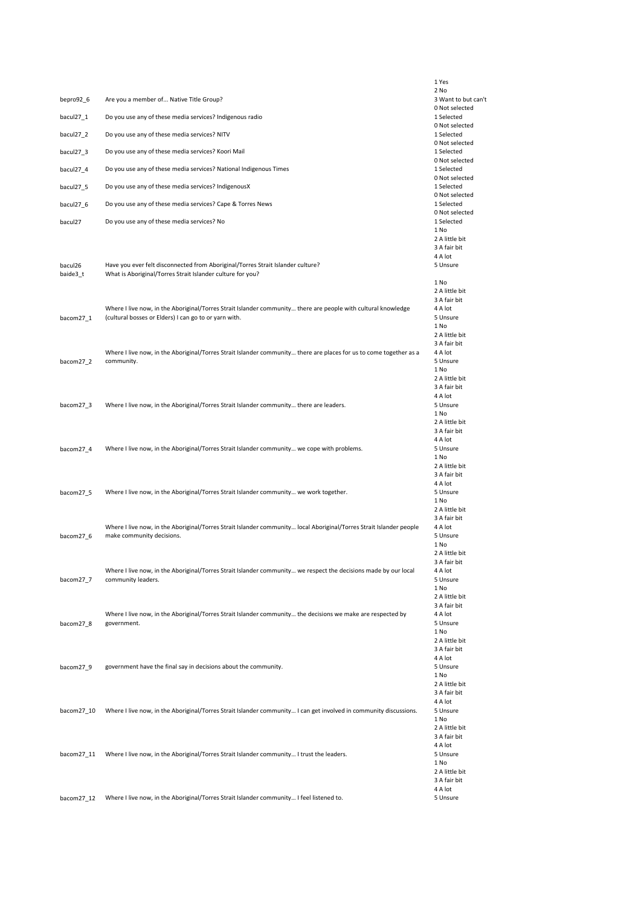| Are you a member of Native Title Group?<br>3 Want to but can't<br>bepro92_6<br>0 Not selected<br>bacul27_1<br>Do you use any of these media services? Indigenous radio<br>1 Selected<br>0 Not selected<br>bacul27_2<br>Do you use any of these media services? NITV<br>1 Selected<br>0 Not selected<br>bacul27_3<br>Do you use any of these media services? Koori Mail<br>1 Selected<br>0 Not selected<br>bacul27_4<br>Do you use any of these media services? National Indigenous Times<br>1 Selected<br>0 Not selected<br>bacul27_5<br>Do you use any of these media services? IndigenousX<br>1 Selected<br>0 Not selected<br>bacul27_6<br>Do you use any of these media services? Cape & Torres News<br>1 Selected<br>0 Not selected<br>bacul27<br>Do you use any of these media services? No<br>1 Selected<br>1 No<br>2 A little bit<br>3 A fair bit<br>4 A lot<br>Have you ever felt disconnected from Aboriginal/Torres Strait Islander culture?<br>5 Unsure<br>bacul26<br>What is Aboriginal/Torres Strait Islander culture for you?<br>baide3_t<br>1 No<br>2 A little bit<br>3 A fair bit<br>4 A lot<br>Where I live now, in the Aboriginal/Torres Strait Islander community there are people with cultural knowledge<br>bacom27_1<br>(cultural bosses or Elders) I can go to or yarn with.<br>5 Unsure<br>1 No<br>2 A little bit<br>3 A fair bit<br>4 A lot<br>Where I live now, in the Aboriginal/Torres Strait Islander community there are places for us to come together as a<br>community.<br>5 Unsure<br>bacom27_2<br>1 No<br>2 A little bit<br>3 A fair bit<br>4 A lot<br>Where I live now, in the Aboriginal/Torres Strait Islander community there are leaders.<br>5 Unsure<br>bacom27_3<br>1 No<br>2 A little bit<br>3 A fair bit<br>4 A lot<br>Where I live now, in the Aboriginal/Torres Strait Islander community we cope with problems.<br>5 Unsure<br>bacom27_4<br>1 No<br>2 A little bit<br>3 A fair bit<br>4 A lot<br>Where I live now, in the Aboriginal/Torres Strait Islander community we work together.<br>5 Unsure<br>bacom27_5<br>1 No<br>2 A little bit<br>3 A fair bit<br>Where I live now, in the Aboriginal/Torres Strait Islander community local Aboriginal/Torres Strait Islander people<br>4 A lot<br>make community decisions.<br>5 Unsure<br>bacom27_6<br>1 No<br>2 A little bit<br>3 A fair bit<br>Where I live now, in the Aboriginal/Torres Strait Islander community we respect the decisions made by our local<br>4 A lot<br>community leaders.<br>bacom27_7<br>5 Unsure<br>1 No<br>2 A little bit<br>3 A fair bit<br>Where I live now, in the Aboriginal/Torres Strait Islander community the decisions we make are respected by<br>4 A lot<br>bacom27_8<br>government.<br>5 Unsure<br>1 No<br>2 A little bit<br>3 A fair bit<br>4 A lot<br>government have the final say in decisions about the community.<br>5 Unsure<br>bacom27_9<br>1 No<br>2 A little bit<br>3 A fair bit<br>4 A lot<br>Where I live now, in the Aboriginal/Torres Strait Islander community I can get involved in community discussions.<br>bacom27_10<br>5 Unsure<br>1 No<br>2 A little bit<br>3 A fair bit<br>4 A lot<br>Where I live now, in the Aboriginal/Torres Strait Islander community I trust the leaders.<br>bacom27_11<br>5 Unsure<br>1 No<br>2 A little bit<br>3 A fair bit<br>4 A lot<br>bacom27_12<br>Where I live now, in the Aboriginal/Torres Strait Islander community I feel listened to.<br>5 Unsure |  | 1 Yes |
|--------------------------------------------------------------------------------------------------------------------------------------------------------------------------------------------------------------------------------------------------------------------------------------------------------------------------------------------------------------------------------------------------------------------------------------------------------------------------------------------------------------------------------------------------------------------------------------------------------------------------------------------------------------------------------------------------------------------------------------------------------------------------------------------------------------------------------------------------------------------------------------------------------------------------------------------------------------------------------------------------------------------------------------------------------------------------------------------------------------------------------------------------------------------------------------------------------------------------------------------------------------------------------------------------------------------------------------------------------------------------------------------------------------------------------------------------------------------------------------------------------------------------------------------------------------------------------------------------------------------------------------------------------------------------------------------------------------------------------------------------------------------------------------------------------------------------------------------------------------------------------------------------------------------------------------------------------------------------------------------------------------------------------------------------------------------------------------------------------------------------------------------------------------------------------------------------------------------------------------------------------------------------------------------------------------------------------------------------------------------------------------------------------------------------------------------------------------------------------------------------------------------------------------------------------------------------------------------------------------------------------------------------------------------------------------------------------------------------------------------------------------------------------------------------------------------------------------------------------------------------------------------------------------------------------------------------------------------------------------------------------------------------------------------------------------------------------------------------------------------------------------------------------------------------------------------------------------------------------------------------------------------------------------------------------------------------------------------------------------------------------------------------------------------------------------------------|--|-------|
|                                                                                                                                                                                                                                                                                                                                                                                                                                                                                                                                                                                                                                                                                                                                                                                                                                                                                                                                                                                                                                                                                                                                                                                                                                                                                                                                                                                                                                                                                                                                                                                                                                                                                                                                                                                                                                                                                                                                                                                                                                                                                                                                                                                                                                                                                                                                                                                                                                                                                                                                                                                                                                                                                                                                                                                                                                                                                                                                                                                                                                                                                                                                                                                                                                                                                                                                                                                                                                                  |  | 2 No  |
|                                                                                                                                                                                                                                                                                                                                                                                                                                                                                                                                                                                                                                                                                                                                                                                                                                                                                                                                                                                                                                                                                                                                                                                                                                                                                                                                                                                                                                                                                                                                                                                                                                                                                                                                                                                                                                                                                                                                                                                                                                                                                                                                                                                                                                                                                                                                                                                                                                                                                                                                                                                                                                                                                                                                                                                                                                                                                                                                                                                                                                                                                                                                                                                                                                                                                                                                                                                                                                                  |  |       |
|                                                                                                                                                                                                                                                                                                                                                                                                                                                                                                                                                                                                                                                                                                                                                                                                                                                                                                                                                                                                                                                                                                                                                                                                                                                                                                                                                                                                                                                                                                                                                                                                                                                                                                                                                                                                                                                                                                                                                                                                                                                                                                                                                                                                                                                                                                                                                                                                                                                                                                                                                                                                                                                                                                                                                                                                                                                                                                                                                                                                                                                                                                                                                                                                                                                                                                                                                                                                                                                  |  |       |
|                                                                                                                                                                                                                                                                                                                                                                                                                                                                                                                                                                                                                                                                                                                                                                                                                                                                                                                                                                                                                                                                                                                                                                                                                                                                                                                                                                                                                                                                                                                                                                                                                                                                                                                                                                                                                                                                                                                                                                                                                                                                                                                                                                                                                                                                                                                                                                                                                                                                                                                                                                                                                                                                                                                                                                                                                                                                                                                                                                                                                                                                                                                                                                                                                                                                                                                                                                                                                                                  |  |       |
|                                                                                                                                                                                                                                                                                                                                                                                                                                                                                                                                                                                                                                                                                                                                                                                                                                                                                                                                                                                                                                                                                                                                                                                                                                                                                                                                                                                                                                                                                                                                                                                                                                                                                                                                                                                                                                                                                                                                                                                                                                                                                                                                                                                                                                                                                                                                                                                                                                                                                                                                                                                                                                                                                                                                                                                                                                                                                                                                                                                                                                                                                                                                                                                                                                                                                                                                                                                                                                                  |  |       |
|                                                                                                                                                                                                                                                                                                                                                                                                                                                                                                                                                                                                                                                                                                                                                                                                                                                                                                                                                                                                                                                                                                                                                                                                                                                                                                                                                                                                                                                                                                                                                                                                                                                                                                                                                                                                                                                                                                                                                                                                                                                                                                                                                                                                                                                                                                                                                                                                                                                                                                                                                                                                                                                                                                                                                                                                                                                                                                                                                                                                                                                                                                                                                                                                                                                                                                                                                                                                                                                  |  |       |
|                                                                                                                                                                                                                                                                                                                                                                                                                                                                                                                                                                                                                                                                                                                                                                                                                                                                                                                                                                                                                                                                                                                                                                                                                                                                                                                                                                                                                                                                                                                                                                                                                                                                                                                                                                                                                                                                                                                                                                                                                                                                                                                                                                                                                                                                                                                                                                                                                                                                                                                                                                                                                                                                                                                                                                                                                                                                                                                                                                                                                                                                                                                                                                                                                                                                                                                                                                                                                                                  |  |       |
|                                                                                                                                                                                                                                                                                                                                                                                                                                                                                                                                                                                                                                                                                                                                                                                                                                                                                                                                                                                                                                                                                                                                                                                                                                                                                                                                                                                                                                                                                                                                                                                                                                                                                                                                                                                                                                                                                                                                                                                                                                                                                                                                                                                                                                                                                                                                                                                                                                                                                                                                                                                                                                                                                                                                                                                                                                                                                                                                                                                                                                                                                                                                                                                                                                                                                                                                                                                                                                                  |  |       |
|                                                                                                                                                                                                                                                                                                                                                                                                                                                                                                                                                                                                                                                                                                                                                                                                                                                                                                                                                                                                                                                                                                                                                                                                                                                                                                                                                                                                                                                                                                                                                                                                                                                                                                                                                                                                                                                                                                                                                                                                                                                                                                                                                                                                                                                                                                                                                                                                                                                                                                                                                                                                                                                                                                                                                                                                                                                                                                                                                                                                                                                                                                                                                                                                                                                                                                                                                                                                                                                  |  |       |
|                                                                                                                                                                                                                                                                                                                                                                                                                                                                                                                                                                                                                                                                                                                                                                                                                                                                                                                                                                                                                                                                                                                                                                                                                                                                                                                                                                                                                                                                                                                                                                                                                                                                                                                                                                                                                                                                                                                                                                                                                                                                                                                                                                                                                                                                                                                                                                                                                                                                                                                                                                                                                                                                                                                                                                                                                                                                                                                                                                                                                                                                                                                                                                                                                                                                                                                                                                                                                                                  |  |       |
|                                                                                                                                                                                                                                                                                                                                                                                                                                                                                                                                                                                                                                                                                                                                                                                                                                                                                                                                                                                                                                                                                                                                                                                                                                                                                                                                                                                                                                                                                                                                                                                                                                                                                                                                                                                                                                                                                                                                                                                                                                                                                                                                                                                                                                                                                                                                                                                                                                                                                                                                                                                                                                                                                                                                                                                                                                                                                                                                                                                                                                                                                                                                                                                                                                                                                                                                                                                                                                                  |  |       |
|                                                                                                                                                                                                                                                                                                                                                                                                                                                                                                                                                                                                                                                                                                                                                                                                                                                                                                                                                                                                                                                                                                                                                                                                                                                                                                                                                                                                                                                                                                                                                                                                                                                                                                                                                                                                                                                                                                                                                                                                                                                                                                                                                                                                                                                                                                                                                                                                                                                                                                                                                                                                                                                                                                                                                                                                                                                                                                                                                                                                                                                                                                                                                                                                                                                                                                                                                                                                                                                  |  |       |
|                                                                                                                                                                                                                                                                                                                                                                                                                                                                                                                                                                                                                                                                                                                                                                                                                                                                                                                                                                                                                                                                                                                                                                                                                                                                                                                                                                                                                                                                                                                                                                                                                                                                                                                                                                                                                                                                                                                                                                                                                                                                                                                                                                                                                                                                                                                                                                                                                                                                                                                                                                                                                                                                                                                                                                                                                                                                                                                                                                                                                                                                                                                                                                                                                                                                                                                                                                                                                                                  |  |       |
|                                                                                                                                                                                                                                                                                                                                                                                                                                                                                                                                                                                                                                                                                                                                                                                                                                                                                                                                                                                                                                                                                                                                                                                                                                                                                                                                                                                                                                                                                                                                                                                                                                                                                                                                                                                                                                                                                                                                                                                                                                                                                                                                                                                                                                                                                                                                                                                                                                                                                                                                                                                                                                                                                                                                                                                                                                                                                                                                                                                                                                                                                                                                                                                                                                                                                                                                                                                                                                                  |  |       |
|                                                                                                                                                                                                                                                                                                                                                                                                                                                                                                                                                                                                                                                                                                                                                                                                                                                                                                                                                                                                                                                                                                                                                                                                                                                                                                                                                                                                                                                                                                                                                                                                                                                                                                                                                                                                                                                                                                                                                                                                                                                                                                                                                                                                                                                                                                                                                                                                                                                                                                                                                                                                                                                                                                                                                                                                                                                                                                                                                                                                                                                                                                                                                                                                                                                                                                                                                                                                                                                  |  |       |
|                                                                                                                                                                                                                                                                                                                                                                                                                                                                                                                                                                                                                                                                                                                                                                                                                                                                                                                                                                                                                                                                                                                                                                                                                                                                                                                                                                                                                                                                                                                                                                                                                                                                                                                                                                                                                                                                                                                                                                                                                                                                                                                                                                                                                                                                                                                                                                                                                                                                                                                                                                                                                                                                                                                                                                                                                                                                                                                                                                                                                                                                                                                                                                                                                                                                                                                                                                                                                                                  |  |       |
|                                                                                                                                                                                                                                                                                                                                                                                                                                                                                                                                                                                                                                                                                                                                                                                                                                                                                                                                                                                                                                                                                                                                                                                                                                                                                                                                                                                                                                                                                                                                                                                                                                                                                                                                                                                                                                                                                                                                                                                                                                                                                                                                                                                                                                                                                                                                                                                                                                                                                                                                                                                                                                                                                                                                                                                                                                                                                                                                                                                                                                                                                                                                                                                                                                                                                                                                                                                                                                                  |  |       |
|                                                                                                                                                                                                                                                                                                                                                                                                                                                                                                                                                                                                                                                                                                                                                                                                                                                                                                                                                                                                                                                                                                                                                                                                                                                                                                                                                                                                                                                                                                                                                                                                                                                                                                                                                                                                                                                                                                                                                                                                                                                                                                                                                                                                                                                                                                                                                                                                                                                                                                                                                                                                                                                                                                                                                                                                                                                                                                                                                                                                                                                                                                                                                                                                                                                                                                                                                                                                                                                  |  |       |
|                                                                                                                                                                                                                                                                                                                                                                                                                                                                                                                                                                                                                                                                                                                                                                                                                                                                                                                                                                                                                                                                                                                                                                                                                                                                                                                                                                                                                                                                                                                                                                                                                                                                                                                                                                                                                                                                                                                                                                                                                                                                                                                                                                                                                                                                                                                                                                                                                                                                                                                                                                                                                                                                                                                                                                                                                                                                                                                                                                                                                                                                                                                                                                                                                                                                                                                                                                                                                                                  |  |       |
|                                                                                                                                                                                                                                                                                                                                                                                                                                                                                                                                                                                                                                                                                                                                                                                                                                                                                                                                                                                                                                                                                                                                                                                                                                                                                                                                                                                                                                                                                                                                                                                                                                                                                                                                                                                                                                                                                                                                                                                                                                                                                                                                                                                                                                                                                                                                                                                                                                                                                                                                                                                                                                                                                                                                                                                                                                                                                                                                                                                                                                                                                                                                                                                                                                                                                                                                                                                                                                                  |  |       |
|                                                                                                                                                                                                                                                                                                                                                                                                                                                                                                                                                                                                                                                                                                                                                                                                                                                                                                                                                                                                                                                                                                                                                                                                                                                                                                                                                                                                                                                                                                                                                                                                                                                                                                                                                                                                                                                                                                                                                                                                                                                                                                                                                                                                                                                                                                                                                                                                                                                                                                                                                                                                                                                                                                                                                                                                                                                                                                                                                                                                                                                                                                                                                                                                                                                                                                                                                                                                                                                  |  |       |
|                                                                                                                                                                                                                                                                                                                                                                                                                                                                                                                                                                                                                                                                                                                                                                                                                                                                                                                                                                                                                                                                                                                                                                                                                                                                                                                                                                                                                                                                                                                                                                                                                                                                                                                                                                                                                                                                                                                                                                                                                                                                                                                                                                                                                                                                                                                                                                                                                                                                                                                                                                                                                                                                                                                                                                                                                                                                                                                                                                                                                                                                                                                                                                                                                                                                                                                                                                                                                                                  |  |       |
|                                                                                                                                                                                                                                                                                                                                                                                                                                                                                                                                                                                                                                                                                                                                                                                                                                                                                                                                                                                                                                                                                                                                                                                                                                                                                                                                                                                                                                                                                                                                                                                                                                                                                                                                                                                                                                                                                                                                                                                                                                                                                                                                                                                                                                                                                                                                                                                                                                                                                                                                                                                                                                                                                                                                                                                                                                                                                                                                                                                                                                                                                                                                                                                                                                                                                                                                                                                                                                                  |  |       |
|                                                                                                                                                                                                                                                                                                                                                                                                                                                                                                                                                                                                                                                                                                                                                                                                                                                                                                                                                                                                                                                                                                                                                                                                                                                                                                                                                                                                                                                                                                                                                                                                                                                                                                                                                                                                                                                                                                                                                                                                                                                                                                                                                                                                                                                                                                                                                                                                                                                                                                                                                                                                                                                                                                                                                                                                                                                                                                                                                                                                                                                                                                                                                                                                                                                                                                                                                                                                                                                  |  |       |
|                                                                                                                                                                                                                                                                                                                                                                                                                                                                                                                                                                                                                                                                                                                                                                                                                                                                                                                                                                                                                                                                                                                                                                                                                                                                                                                                                                                                                                                                                                                                                                                                                                                                                                                                                                                                                                                                                                                                                                                                                                                                                                                                                                                                                                                                                                                                                                                                                                                                                                                                                                                                                                                                                                                                                                                                                                                                                                                                                                                                                                                                                                                                                                                                                                                                                                                                                                                                                                                  |  |       |
|                                                                                                                                                                                                                                                                                                                                                                                                                                                                                                                                                                                                                                                                                                                                                                                                                                                                                                                                                                                                                                                                                                                                                                                                                                                                                                                                                                                                                                                                                                                                                                                                                                                                                                                                                                                                                                                                                                                                                                                                                                                                                                                                                                                                                                                                                                                                                                                                                                                                                                                                                                                                                                                                                                                                                                                                                                                                                                                                                                                                                                                                                                                                                                                                                                                                                                                                                                                                                                                  |  |       |
|                                                                                                                                                                                                                                                                                                                                                                                                                                                                                                                                                                                                                                                                                                                                                                                                                                                                                                                                                                                                                                                                                                                                                                                                                                                                                                                                                                                                                                                                                                                                                                                                                                                                                                                                                                                                                                                                                                                                                                                                                                                                                                                                                                                                                                                                                                                                                                                                                                                                                                                                                                                                                                                                                                                                                                                                                                                                                                                                                                                                                                                                                                                                                                                                                                                                                                                                                                                                                                                  |  |       |
|                                                                                                                                                                                                                                                                                                                                                                                                                                                                                                                                                                                                                                                                                                                                                                                                                                                                                                                                                                                                                                                                                                                                                                                                                                                                                                                                                                                                                                                                                                                                                                                                                                                                                                                                                                                                                                                                                                                                                                                                                                                                                                                                                                                                                                                                                                                                                                                                                                                                                                                                                                                                                                                                                                                                                                                                                                                                                                                                                                                                                                                                                                                                                                                                                                                                                                                                                                                                                                                  |  |       |
|                                                                                                                                                                                                                                                                                                                                                                                                                                                                                                                                                                                                                                                                                                                                                                                                                                                                                                                                                                                                                                                                                                                                                                                                                                                                                                                                                                                                                                                                                                                                                                                                                                                                                                                                                                                                                                                                                                                                                                                                                                                                                                                                                                                                                                                                                                                                                                                                                                                                                                                                                                                                                                                                                                                                                                                                                                                                                                                                                                                                                                                                                                                                                                                                                                                                                                                                                                                                                                                  |  |       |
|                                                                                                                                                                                                                                                                                                                                                                                                                                                                                                                                                                                                                                                                                                                                                                                                                                                                                                                                                                                                                                                                                                                                                                                                                                                                                                                                                                                                                                                                                                                                                                                                                                                                                                                                                                                                                                                                                                                                                                                                                                                                                                                                                                                                                                                                                                                                                                                                                                                                                                                                                                                                                                                                                                                                                                                                                                                                                                                                                                                                                                                                                                                                                                                                                                                                                                                                                                                                                                                  |  |       |
|                                                                                                                                                                                                                                                                                                                                                                                                                                                                                                                                                                                                                                                                                                                                                                                                                                                                                                                                                                                                                                                                                                                                                                                                                                                                                                                                                                                                                                                                                                                                                                                                                                                                                                                                                                                                                                                                                                                                                                                                                                                                                                                                                                                                                                                                                                                                                                                                                                                                                                                                                                                                                                                                                                                                                                                                                                                                                                                                                                                                                                                                                                                                                                                                                                                                                                                                                                                                                                                  |  |       |
|                                                                                                                                                                                                                                                                                                                                                                                                                                                                                                                                                                                                                                                                                                                                                                                                                                                                                                                                                                                                                                                                                                                                                                                                                                                                                                                                                                                                                                                                                                                                                                                                                                                                                                                                                                                                                                                                                                                                                                                                                                                                                                                                                                                                                                                                                                                                                                                                                                                                                                                                                                                                                                                                                                                                                                                                                                                                                                                                                                                                                                                                                                                                                                                                                                                                                                                                                                                                                                                  |  |       |
|                                                                                                                                                                                                                                                                                                                                                                                                                                                                                                                                                                                                                                                                                                                                                                                                                                                                                                                                                                                                                                                                                                                                                                                                                                                                                                                                                                                                                                                                                                                                                                                                                                                                                                                                                                                                                                                                                                                                                                                                                                                                                                                                                                                                                                                                                                                                                                                                                                                                                                                                                                                                                                                                                                                                                                                                                                                                                                                                                                                                                                                                                                                                                                                                                                                                                                                                                                                                                                                  |  |       |
|                                                                                                                                                                                                                                                                                                                                                                                                                                                                                                                                                                                                                                                                                                                                                                                                                                                                                                                                                                                                                                                                                                                                                                                                                                                                                                                                                                                                                                                                                                                                                                                                                                                                                                                                                                                                                                                                                                                                                                                                                                                                                                                                                                                                                                                                                                                                                                                                                                                                                                                                                                                                                                                                                                                                                                                                                                                                                                                                                                                                                                                                                                                                                                                                                                                                                                                                                                                                                                                  |  |       |
|                                                                                                                                                                                                                                                                                                                                                                                                                                                                                                                                                                                                                                                                                                                                                                                                                                                                                                                                                                                                                                                                                                                                                                                                                                                                                                                                                                                                                                                                                                                                                                                                                                                                                                                                                                                                                                                                                                                                                                                                                                                                                                                                                                                                                                                                                                                                                                                                                                                                                                                                                                                                                                                                                                                                                                                                                                                                                                                                                                                                                                                                                                                                                                                                                                                                                                                                                                                                                                                  |  |       |
|                                                                                                                                                                                                                                                                                                                                                                                                                                                                                                                                                                                                                                                                                                                                                                                                                                                                                                                                                                                                                                                                                                                                                                                                                                                                                                                                                                                                                                                                                                                                                                                                                                                                                                                                                                                                                                                                                                                                                                                                                                                                                                                                                                                                                                                                                                                                                                                                                                                                                                                                                                                                                                                                                                                                                                                                                                                                                                                                                                                                                                                                                                                                                                                                                                                                                                                                                                                                                                                  |  |       |
|                                                                                                                                                                                                                                                                                                                                                                                                                                                                                                                                                                                                                                                                                                                                                                                                                                                                                                                                                                                                                                                                                                                                                                                                                                                                                                                                                                                                                                                                                                                                                                                                                                                                                                                                                                                                                                                                                                                                                                                                                                                                                                                                                                                                                                                                                                                                                                                                                                                                                                                                                                                                                                                                                                                                                                                                                                                                                                                                                                                                                                                                                                                                                                                                                                                                                                                                                                                                                                                  |  |       |
|                                                                                                                                                                                                                                                                                                                                                                                                                                                                                                                                                                                                                                                                                                                                                                                                                                                                                                                                                                                                                                                                                                                                                                                                                                                                                                                                                                                                                                                                                                                                                                                                                                                                                                                                                                                                                                                                                                                                                                                                                                                                                                                                                                                                                                                                                                                                                                                                                                                                                                                                                                                                                                                                                                                                                                                                                                                                                                                                                                                                                                                                                                                                                                                                                                                                                                                                                                                                                                                  |  |       |
|                                                                                                                                                                                                                                                                                                                                                                                                                                                                                                                                                                                                                                                                                                                                                                                                                                                                                                                                                                                                                                                                                                                                                                                                                                                                                                                                                                                                                                                                                                                                                                                                                                                                                                                                                                                                                                                                                                                                                                                                                                                                                                                                                                                                                                                                                                                                                                                                                                                                                                                                                                                                                                                                                                                                                                                                                                                                                                                                                                                                                                                                                                                                                                                                                                                                                                                                                                                                                                                  |  |       |
|                                                                                                                                                                                                                                                                                                                                                                                                                                                                                                                                                                                                                                                                                                                                                                                                                                                                                                                                                                                                                                                                                                                                                                                                                                                                                                                                                                                                                                                                                                                                                                                                                                                                                                                                                                                                                                                                                                                                                                                                                                                                                                                                                                                                                                                                                                                                                                                                                                                                                                                                                                                                                                                                                                                                                                                                                                                                                                                                                                                                                                                                                                                                                                                                                                                                                                                                                                                                                                                  |  |       |
|                                                                                                                                                                                                                                                                                                                                                                                                                                                                                                                                                                                                                                                                                                                                                                                                                                                                                                                                                                                                                                                                                                                                                                                                                                                                                                                                                                                                                                                                                                                                                                                                                                                                                                                                                                                                                                                                                                                                                                                                                                                                                                                                                                                                                                                                                                                                                                                                                                                                                                                                                                                                                                                                                                                                                                                                                                                                                                                                                                                                                                                                                                                                                                                                                                                                                                                                                                                                                                                  |  |       |
|                                                                                                                                                                                                                                                                                                                                                                                                                                                                                                                                                                                                                                                                                                                                                                                                                                                                                                                                                                                                                                                                                                                                                                                                                                                                                                                                                                                                                                                                                                                                                                                                                                                                                                                                                                                                                                                                                                                                                                                                                                                                                                                                                                                                                                                                                                                                                                                                                                                                                                                                                                                                                                                                                                                                                                                                                                                                                                                                                                                                                                                                                                                                                                                                                                                                                                                                                                                                                                                  |  |       |
|                                                                                                                                                                                                                                                                                                                                                                                                                                                                                                                                                                                                                                                                                                                                                                                                                                                                                                                                                                                                                                                                                                                                                                                                                                                                                                                                                                                                                                                                                                                                                                                                                                                                                                                                                                                                                                                                                                                                                                                                                                                                                                                                                                                                                                                                                                                                                                                                                                                                                                                                                                                                                                                                                                                                                                                                                                                                                                                                                                                                                                                                                                                                                                                                                                                                                                                                                                                                                                                  |  |       |
|                                                                                                                                                                                                                                                                                                                                                                                                                                                                                                                                                                                                                                                                                                                                                                                                                                                                                                                                                                                                                                                                                                                                                                                                                                                                                                                                                                                                                                                                                                                                                                                                                                                                                                                                                                                                                                                                                                                                                                                                                                                                                                                                                                                                                                                                                                                                                                                                                                                                                                                                                                                                                                                                                                                                                                                                                                                                                                                                                                                                                                                                                                                                                                                                                                                                                                                                                                                                                                                  |  |       |
|                                                                                                                                                                                                                                                                                                                                                                                                                                                                                                                                                                                                                                                                                                                                                                                                                                                                                                                                                                                                                                                                                                                                                                                                                                                                                                                                                                                                                                                                                                                                                                                                                                                                                                                                                                                                                                                                                                                                                                                                                                                                                                                                                                                                                                                                                                                                                                                                                                                                                                                                                                                                                                                                                                                                                                                                                                                                                                                                                                                                                                                                                                                                                                                                                                                                                                                                                                                                                                                  |  |       |
|                                                                                                                                                                                                                                                                                                                                                                                                                                                                                                                                                                                                                                                                                                                                                                                                                                                                                                                                                                                                                                                                                                                                                                                                                                                                                                                                                                                                                                                                                                                                                                                                                                                                                                                                                                                                                                                                                                                                                                                                                                                                                                                                                                                                                                                                                                                                                                                                                                                                                                                                                                                                                                                                                                                                                                                                                                                                                                                                                                                                                                                                                                                                                                                                                                                                                                                                                                                                                                                  |  |       |
|                                                                                                                                                                                                                                                                                                                                                                                                                                                                                                                                                                                                                                                                                                                                                                                                                                                                                                                                                                                                                                                                                                                                                                                                                                                                                                                                                                                                                                                                                                                                                                                                                                                                                                                                                                                                                                                                                                                                                                                                                                                                                                                                                                                                                                                                                                                                                                                                                                                                                                                                                                                                                                                                                                                                                                                                                                                                                                                                                                                                                                                                                                                                                                                                                                                                                                                                                                                                                                                  |  |       |
|                                                                                                                                                                                                                                                                                                                                                                                                                                                                                                                                                                                                                                                                                                                                                                                                                                                                                                                                                                                                                                                                                                                                                                                                                                                                                                                                                                                                                                                                                                                                                                                                                                                                                                                                                                                                                                                                                                                                                                                                                                                                                                                                                                                                                                                                                                                                                                                                                                                                                                                                                                                                                                                                                                                                                                                                                                                                                                                                                                                                                                                                                                                                                                                                                                                                                                                                                                                                                                                  |  |       |
|                                                                                                                                                                                                                                                                                                                                                                                                                                                                                                                                                                                                                                                                                                                                                                                                                                                                                                                                                                                                                                                                                                                                                                                                                                                                                                                                                                                                                                                                                                                                                                                                                                                                                                                                                                                                                                                                                                                                                                                                                                                                                                                                                                                                                                                                                                                                                                                                                                                                                                                                                                                                                                                                                                                                                                                                                                                                                                                                                                                                                                                                                                                                                                                                                                                                                                                                                                                                                                                  |  |       |
|                                                                                                                                                                                                                                                                                                                                                                                                                                                                                                                                                                                                                                                                                                                                                                                                                                                                                                                                                                                                                                                                                                                                                                                                                                                                                                                                                                                                                                                                                                                                                                                                                                                                                                                                                                                                                                                                                                                                                                                                                                                                                                                                                                                                                                                                                                                                                                                                                                                                                                                                                                                                                                                                                                                                                                                                                                                                                                                                                                                                                                                                                                                                                                                                                                                                                                                                                                                                                                                  |  |       |
|                                                                                                                                                                                                                                                                                                                                                                                                                                                                                                                                                                                                                                                                                                                                                                                                                                                                                                                                                                                                                                                                                                                                                                                                                                                                                                                                                                                                                                                                                                                                                                                                                                                                                                                                                                                                                                                                                                                                                                                                                                                                                                                                                                                                                                                                                                                                                                                                                                                                                                                                                                                                                                                                                                                                                                                                                                                                                                                                                                                                                                                                                                                                                                                                                                                                                                                                                                                                                                                  |  |       |
|                                                                                                                                                                                                                                                                                                                                                                                                                                                                                                                                                                                                                                                                                                                                                                                                                                                                                                                                                                                                                                                                                                                                                                                                                                                                                                                                                                                                                                                                                                                                                                                                                                                                                                                                                                                                                                                                                                                                                                                                                                                                                                                                                                                                                                                                                                                                                                                                                                                                                                                                                                                                                                                                                                                                                                                                                                                                                                                                                                                                                                                                                                                                                                                                                                                                                                                                                                                                                                                  |  |       |
|                                                                                                                                                                                                                                                                                                                                                                                                                                                                                                                                                                                                                                                                                                                                                                                                                                                                                                                                                                                                                                                                                                                                                                                                                                                                                                                                                                                                                                                                                                                                                                                                                                                                                                                                                                                                                                                                                                                                                                                                                                                                                                                                                                                                                                                                                                                                                                                                                                                                                                                                                                                                                                                                                                                                                                                                                                                                                                                                                                                                                                                                                                                                                                                                                                                                                                                                                                                                                                                  |  |       |
|                                                                                                                                                                                                                                                                                                                                                                                                                                                                                                                                                                                                                                                                                                                                                                                                                                                                                                                                                                                                                                                                                                                                                                                                                                                                                                                                                                                                                                                                                                                                                                                                                                                                                                                                                                                                                                                                                                                                                                                                                                                                                                                                                                                                                                                                                                                                                                                                                                                                                                                                                                                                                                                                                                                                                                                                                                                                                                                                                                                                                                                                                                                                                                                                                                                                                                                                                                                                                                                  |  |       |
|                                                                                                                                                                                                                                                                                                                                                                                                                                                                                                                                                                                                                                                                                                                                                                                                                                                                                                                                                                                                                                                                                                                                                                                                                                                                                                                                                                                                                                                                                                                                                                                                                                                                                                                                                                                                                                                                                                                                                                                                                                                                                                                                                                                                                                                                                                                                                                                                                                                                                                                                                                                                                                                                                                                                                                                                                                                                                                                                                                                                                                                                                                                                                                                                                                                                                                                                                                                                                                                  |  |       |
|                                                                                                                                                                                                                                                                                                                                                                                                                                                                                                                                                                                                                                                                                                                                                                                                                                                                                                                                                                                                                                                                                                                                                                                                                                                                                                                                                                                                                                                                                                                                                                                                                                                                                                                                                                                                                                                                                                                                                                                                                                                                                                                                                                                                                                                                                                                                                                                                                                                                                                                                                                                                                                                                                                                                                                                                                                                                                                                                                                                                                                                                                                                                                                                                                                                                                                                                                                                                                                                  |  |       |
|                                                                                                                                                                                                                                                                                                                                                                                                                                                                                                                                                                                                                                                                                                                                                                                                                                                                                                                                                                                                                                                                                                                                                                                                                                                                                                                                                                                                                                                                                                                                                                                                                                                                                                                                                                                                                                                                                                                                                                                                                                                                                                                                                                                                                                                                                                                                                                                                                                                                                                                                                                                                                                                                                                                                                                                                                                                                                                                                                                                                                                                                                                                                                                                                                                                                                                                                                                                                                                                  |  |       |
|                                                                                                                                                                                                                                                                                                                                                                                                                                                                                                                                                                                                                                                                                                                                                                                                                                                                                                                                                                                                                                                                                                                                                                                                                                                                                                                                                                                                                                                                                                                                                                                                                                                                                                                                                                                                                                                                                                                                                                                                                                                                                                                                                                                                                                                                                                                                                                                                                                                                                                                                                                                                                                                                                                                                                                                                                                                                                                                                                                                                                                                                                                                                                                                                                                                                                                                                                                                                                                                  |  |       |
|                                                                                                                                                                                                                                                                                                                                                                                                                                                                                                                                                                                                                                                                                                                                                                                                                                                                                                                                                                                                                                                                                                                                                                                                                                                                                                                                                                                                                                                                                                                                                                                                                                                                                                                                                                                                                                                                                                                                                                                                                                                                                                                                                                                                                                                                                                                                                                                                                                                                                                                                                                                                                                                                                                                                                                                                                                                                                                                                                                                                                                                                                                                                                                                                                                                                                                                                                                                                                                                  |  |       |
|                                                                                                                                                                                                                                                                                                                                                                                                                                                                                                                                                                                                                                                                                                                                                                                                                                                                                                                                                                                                                                                                                                                                                                                                                                                                                                                                                                                                                                                                                                                                                                                                                                                                                                                                                                                                                                                                                                                                                                                                                                                                                                                                                                                                                                                                                                                                                                                                                                                                                                                                                                                                                                                                                                                                                                                                                                                                                                                                                                                                                                                                                                                                                                                                                                                                                                                                                                                                                                                  |  |       |
|                                                                                                                                                                                                                                                                                                                                                                                                                                                                                                                                                                                                                                                                                                                                                                                                                                                                                                                                                                                                                                                                                                                                                                                                                                                                                                                                                                                                                                                                                                                                                                                                                                                                                                                                                                                                                                                                                                                                                                                                                                                                                                                                                                                                                                                                                                                                                                                                                                                                                                                                                                                                                                                                                                                                                                                                                                                                                                                                                                                                                                                                                                                                                                                                                                                                                                                                                                                                                                                  |  |       |
|                                                                                                                                                                                                                                                                                                                                                                                                                                                                                                                                                                                                                                                                                                                                                                                                                                                                                                                                                                                                                                                                                                                                                                                                                                                                                                                                                                                                                                                                                                                                                                                                                                                                                                                                                                                                                                                                                                                                                                                                                                                                                                                                                                                                                                                                                                                                                                                                                                                                                                                                                                                                                                                                                                                                                                                                                                                                                                                                                                                                                                                                                                                                                                                                                                                                                                                                                                                                                                                  |  |       |
|                                                                                                                                                                                                                                                                                                                                                                                                                                                                                                                                                                                                                                                                                                                                                                                                                                                                                                                                                                                                                                                                                                                                                                                                                                                                                                                                                                                                                                                                                                                                                                                                                                                                                                                                                                                                                                                                                                                                                                                                                                                                                                                                                                                                                                                                                                                                                                                                                                                                                                                                                                                                                                                                                                                                                                                                                                                                                                                                                                                                                                                                                                                                                                                                                                                                                                                                                                                                                                                  |  |       |
|                                                                                                                                                                                                                                                                                                                                                                                                                                                                                                                                                                                                                                                                                                                                                                                                                                                                                                                                                                                                                                                                                                                                                                                                                                                                                                                                                                                                                                                                                                                                                                                                                                                                                                                                                                                                                                                                                                                                                                                                                                                                                                                                                                                                                                                                                                                                                                                                                                                                                                                                                                                                                                                                                                                                                                                                                                                                                                                                                                                                                                                                                                                                                                                                                                                                                                                                                                                                                                                  |  |       |
|                                                                                                                                                                                                                                                                                                                                                                                                                                                                                                                                                                                                                                                                                                                                                                                                                                                                                                                                                                                                                                                                                                                                                                                                                                                                                                                                                                                                                                                                                                                                                                                                                                                                                                                                                                                                                                                                                                                                                                                                                                                                                                                                                                                                                                                                                                                                                                                                                                                                                                                                                                                                                                                                                                                                                                                                                                                                                                                                                                                                                                                                                                                                                                                                                                                                                                                                                                                                                                                  |  |       |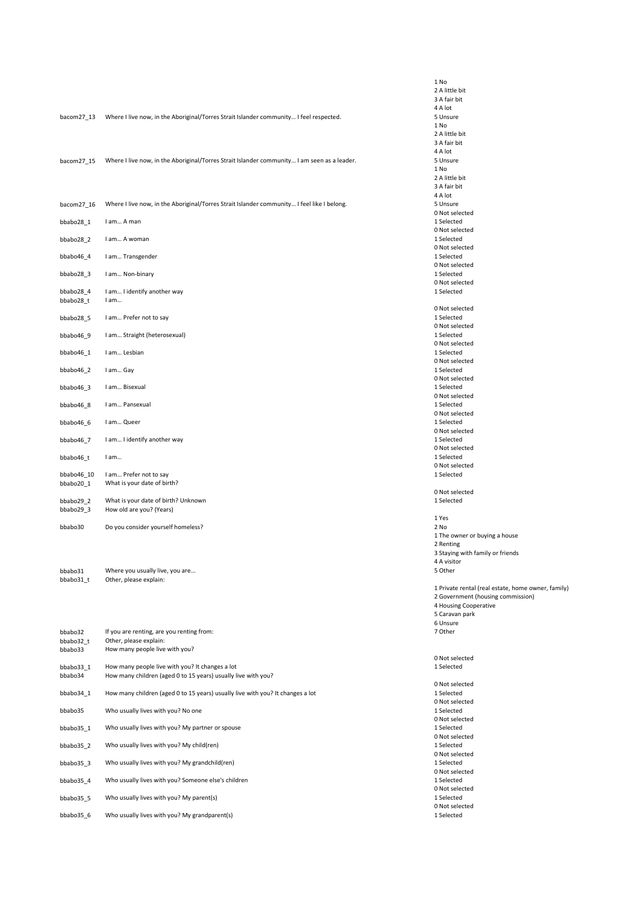|                      |                                                                                             | 1 No                        |
|----------------------|---------------------------------------------------------------------------------------------|-----------------------------|
|                      |                                                                                             | 2 A little bit              |
|                      |                                                                                             | 3 A fair bit<br>4 A lot     |
| bacom27 13           | Where I live now, in the Aboriginal/Torres Strait Islander community I feel respected.      | 5 Unsure                    |
|                      |                                                                                             | 1 No                        |
|                      |                                                                                             | 2 A little bit              |
|                      |                                                                                             | 3 A fair bit<br>4 A lot     |
| bacom27 15           | Where I live now, in the Aboriginal/Torres Strait Islander community I am seen as a leader. | 5 Unsure                    |
|                      |                                                                                             | 1 No                        |
|                      |                                                                                             | 2 A little bit              |
|                      |                                                                                             | 3 A fair bit<br>4 A lot     |
| bacom27_16           | Where I live now, in the Aboriginal/Torres Strait Islander community I feel like I belong.  | 5 Unsure                    |
|                      |                                                                                             | 0 Not select                |
| bbabo28 1            | I am A man                                                                                  | 1 Selected                  |
|                      |                                                                                             | 0 Not select<br>1 Selected  |
| bbabo28_2            | I am A woman                                                                                | 0 Not select                |
| bbabo46_4            | I am Transgender                                                                            | 1 Selected                  |
|                      |                                                                                             | 0 Not select                |
| bbabo28 3            | I am Non-binary                                                                             | 1 Selected                  |
| bbabo28 4            | I am I identify another way                                                                 | 0 Not select<br>1 Selected  |
| bbabo28_t            | I am                                                                                        |                             |
|                      |                                                                                             | 0 Not select                |
| bbabo28_5            | I am Prefer not to say                                                                      | 1 Selected<br>0 Not select  |
| bbabo46 9            | I am Straight (heterosexual)                                                                | 1 Selected                  |
|                      |                                                                                             | 0 Not select                |
| bbabo46 1            | I am Lesbian                                                                                | 1 Selected                  |
|                      |                                                                                             | 0 Not select<br>1 Selected  |
| bbabo46_2            | I am Gay                                                                                    | 0 Not select                |
| bbabo46 3            | I am Bisexual                                                                               | 1 Selected                  |
|                      |                                                                                             | 0 Not select                |
| bbabo46 8            | I am Pansexual                                                                              | 1 Selected                  |
| bbabo46_6            | I am Queer                                                                                  | 0 Not select<br>1 Selected  |
|                      |                                                                                             | 0 Not select                |
| bbabo46 7            | I am I identify another way                                                                 | 1 Selected                  |
|                      |                                                                                             | 0 Not select                |
| bbabo46_t            | I am                                                                                        | 1 Selected<br>0 Not select  |
| bbabo46_10           | I am Prefer not to say                                                                      | 1 Selected                  |
| bbabo20_1            | What is your date of birth?                                                                 |                             |
| bbabo29 2            | What is your date of birth? Unknown                                                         | 0 Not select<br>1 Selected  |
| bbabo29_3            | How old are you? (Years)                                                                    |                             |
|                      |                                                                                             | 1 Yes                       |
| bbabo30              | Do you consider yourself homeless?                                                          | 2 No                        |
|                      |                                                                                             | 1 The owner<br>2 Renting    |
|                      |                                                                                             | 3 Staying wi                |
|                      |                                                                                             | 4 A visitor                 |
| bbabo31              | Where you usually live, you are                                                             | 5 Other                     |
| bbabo31_t            | Other, please explain:                                                                      |                             |
|                      |                                                                                             | 1 Private rer<br>2 Governme |
|                      |                                                                                             | 4 Housing Co                |
|                      |                                                                                             | 5 Caravan pa                |
|                      |                                                                                             | 6 Unsure                    |
| bbabo32<br>bbabo32 t | If you are renting, are you renting from:<br>Other, please explain:                         | 7 Other                     |
| bbabo33              | How many people live with you?                                                              |                             |
|                      |                                                                                             | 0 Not select                |
| bbabo33_1            | How many people live with you? It changes a lot                                             | 1 Selected                  |
| bbabo34              | How many children (aged 0 to 15 years) usually live with you?                               | 0 Not select                |
| bbabo34_1            | How many children (aged 0 to 15 years) usually live with you? It changes a lot              | 1 Selected                  |
|                      |                                                                                             | 0 Not select                |
| bbabo35              | Who usually lives with you? No one                                                          | 1 Selected                  |
| bbabo35_1            | Who usually lives with you? My partner or spouse                                            | 0 Not select<br>1 Selected  |
|                      |                                                                                             | 0 Not select                |
| bbabo35_2            | Who usually lives with you? My child(ren)                                                   | 1 Selected                  |
|                      |                                                                                             | 0 Not select                |
| bbabo35_3            | Who usually lives with you? My grandchild(ren)                                              | 1 Selected                  |
| bbabo35_4            | Who usually lives with you? Someone else's children                                         | 0 Not select<br>1 Selected  |
|                      |                                                                                             | 0 Not select                |
| bbabo35_5            | Who usually lives with you? My parent(s)                                                    | 1 Selected                  |
|                      | Who usually lives with you? My grandparent(s)                                               | 0 Not select<br>1 Selected  |
| bbabo35_6            |                                                                                             |                             |

ttle bit air bit  $\mathsf{a}$ sure t selected t selec<br>ected eccea<br>t selected ected t selected ected t selected ected t selected ected t selected ected t selected ected t selected ected t selected ected t selected ected t selected ected t selected ected t selected ected t selected ected -----<br>t selected ected t selected ected e owner or buying a house nting ying with family or friends ,<br>isitor er vate rental (real estate, home owner, family) vernment (housing commission) using Cooperative avan park sure ner<br>1er t selected

t selected ected t selected ected t selected ected t selected ected t selected ected t selected ected t selected ected -----<br>t selected ected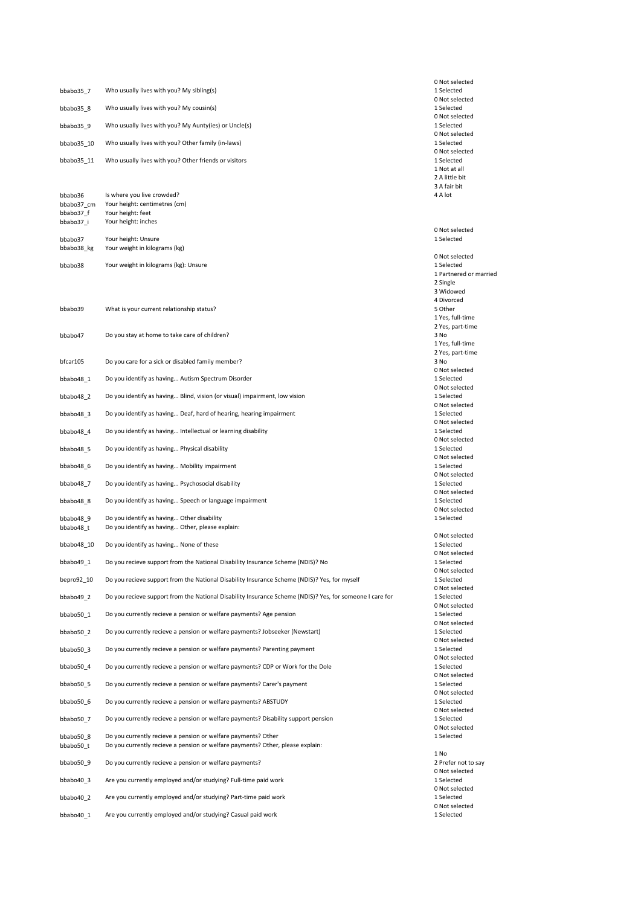|                         |                                                                                                                                                 | 0 Not selected                                 |
|-------------------------|-------------------------------------------------------------------------------------------------------------------------------------------------|------------------------------------------------|
| bbabo35 7               | Who usually lives with you? My sibling(s)                                                                                                       | 1 Selected<br>0 Not selected                   |
| bbabo35_8               | Who usually lives with you? My cousin(s)                                                                                                        | 1 Selected                                     |
| bbabo35_9               | Who usually lives with you? My Aunty(ies) or Uncle(s)                                                                                           | 0 Not selected<br>1 Selected<br>0 Not selected |
| bbabo35 10              | Who usually lives with you? Other family (in-laws)                                                                                              | 1 Selected                                     |
| bbabo35 11              | Who usually lives with you? Other friends or visitors                                                                                           | 0 Not selected<br>1 Selected<br>1 Not at all   |
|                         |                                                                                                                                                 | 2 A little bit<br>3 A fair bit                 |
| bbabo36                 | Is where you live crowded?                                                                                                                      | 4 A lot                                        |
| bbabo37 cm<br>bbabo37 f | Your height: centimetres (cm)<br>Your height: feet                                                                                              |                                                |
| bbabo37_i               | Your height: inches                                                                                                                             | 0 Not selected                                 |
| bbabo37                 | Your height: Unsure                                                                                                                             | 1 Selected                                     |
| bbabo38_kg              | Your weight in kilograms (kg)                                                                                                                   | 0 Not selected                                 |
| bbabo38                 | Your weight in kilograms (kg): Unsure                                                                                                           | 1 Selected<br>1 Partnered or married           |
|                         |                                                                                                                                                 | 2 Single<br>3 Widowed                          |
|                         |                                                                                                                                                 | 4 Divorced                                     |
| bbabo39                 | What is your current relationship status?                                                                                                       | 5 Other<br>1 Yes, full-time                    |
| bbabo47                 | Do you stay at home to take care of children?                                                                                                   | 2 Yes, part-time<br>3 No                       |
|                         |                                                                                                                                                 | 1 Yes, full-time                               |
| bfcar105                | Do you care for a sick or disabled family member?                                                                                               | 2 Yes, part-time<br>3 No                       |
| bbabo48 1               | Do you identify as having Autism Spectrum Disorder                                                                                              | 0 Not selected<br>1 Selected                   |
|                         |                                                                                                                                                 | 0 Not selected                                 |
| bbabo48 2               | Do you identify as having Blind, vision (or visual) impairment, low vision                                                                      | 1 Selected<br>0 Not selected                   |
| bbabo48 3               | Do you identify as having Deaf, hard of hearing, hearing impairment                                                                             | 1 Selected<br>0 Not selected                   |
| bbabo48 4               | Do you identify as having Intellectual or learning disability                                                                                   | 1 Selected<br>0 Not selected                   |
| bbabo48_5               | Do you identify as having Physical disability                                                                                                   | 1 Selected                                     |
| bbabo48 6               | Do you identify as having Mobility impairment                                                                                                   | 0 Not selected<br>1 Selected                   |
| bbabo48 7               | Do you identify as having Psychosocial disability                                                                                               | 0 Not selected<br>1 Selected                   |
| bbabo48 8               | Do you identify as having Speech or language impairment                                                                                         | 0 Not selected<br>1 Selected                   |
| bbabo48 9               | Do you identify as having Other disability                                                                                                      | 0 Not selected<br>1 Selected                   |
| bbabo48_t               | Do you identify as having Other, please explain:                                                                                                | 0 Not selected                                 |
| bbabo48 10              | Do you identify as having None of these                                                                                                         | 1 Selected<br>0 Not selected                   |
| bbabo49_1               | Do you recieve support from the National Disability Insurance Scheme (NDIS)? No                                                                 | 1 Selected                                     |
| bepro92 10              | Do you recieve support from the National Disability Insurance Scheme (NDIS)? Yes, for myself                                                    | 0 Not selected<br>1 Selected                   |
| bbabo49 2               | Do you recieve support from the National Disability Insurance Scheme (NDIS)? Yes, for someone I care for                                        | 0 Not selected<br>1 Selected                   |
| bbabo50 1               | Do you currently recieve a pension or welfare payments? Age pension                                                                             | 0 Not selected<br>1 Selected                   |
| bbabo50 2               | Do you currently recieve a pension or welfare payments? Jobseeker (Newstart)                                                                    | 0 Not selected<br>1 Selected                   |
| bbabo50 3               | Do you currently recieve a pension or welfare payments? Parenting payment                                                                       | 0 Not selected<br>1 Selected                   |
|                         | Do you currently recieve a pension or welfare payments? CDP or Work for the Dole                                                                | 0 Not selected<br>1 Selected                   |
| bbabo50 4               |                                                                                                                                                 | 0 Not selected                                 |
| bbabo50 5               | Do you currently recieve a pension or welfare payments? Carer's payment                                                                         | 1 Selected<br>0 Not selected                   |
| bbabo50 6               | Do you currently recieve a pension or welfare payments? ABSTUDY                                                                                 | 1 Selected<br>0 Not selected                   |
| bbabo50 7               | Do you currently recieve a pension or welfare payments? Disability support pension                                                              | 1 Selected<br>0 Not selected                   |
| bbabo50 8<br>bbabo50 t  | Do you currently recieve a pension or welfare payments? Other<br>Do you currently recieve a pension or welfare payments? Other, please explain: | 1 Selected                                     |
| bbabo50 9               | Do you currently recieve a pension or welfare payments?                                                                                         | 1 No<br>2 Prefer not to say                    |
| bbabo40 3               | Are you currently employed and/or studying? Full-time paid work                                                                                 | 0 Not selected<br>1 Selected                   |
| bbabo40 2               | Are you currently employed and/or studying? Part-time paid work                                                                                 | 0 Not selected<br>1 Selected                   |
| bbabo40 1               | Are you currently employed and/or studying? Casual paid work                                                                                    | 0 Not selected<br>1 Selected                   |
|                         |                                                                                                                                                 |                                                |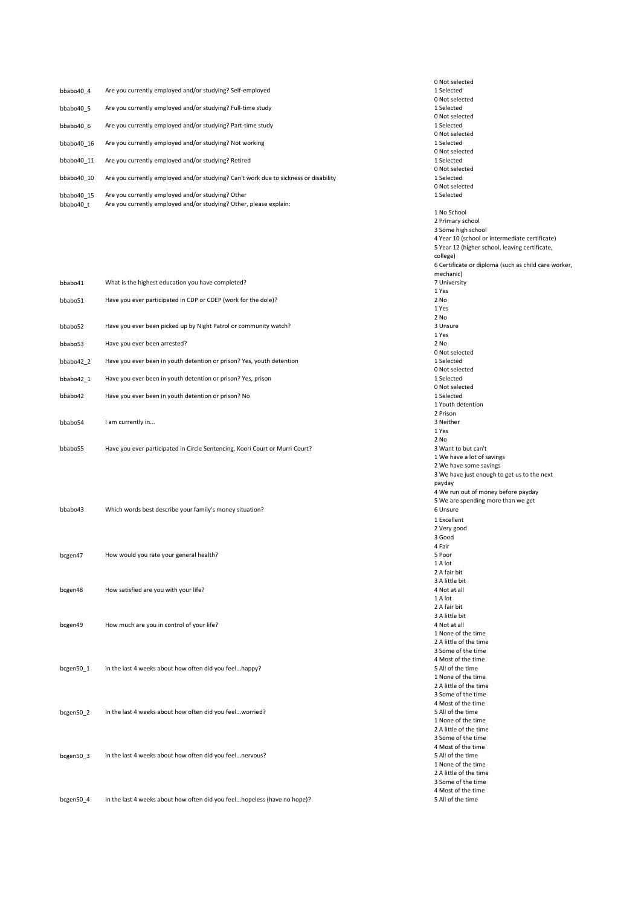| bbabo40 4               | Are you currently employed and/or studying? Self-employed                                                               |
|-------------------------|-------------------------------------------------------------------------------------------------------------------------|
| bbabo40 5               | Are you currently employed and/or studying? Full-time study                                                             |
| bbabo40 6               | Are you currently employed and/or studying? Part-time study                                                             |
| bbabo40 16              | Are you currently employed and/or studying? Not working                                                                 |
| bbabo40 11              | Are you currently employed and/or studying? Retired                                                                     |
| bbabo40 10              | Are you currently employed and/or studying? Can't work due to sickness or disability                                    |
| bbabo40 15<br>bbabo40 t | Are you currently employed and/or studying? Other<br>Are you currently employed and/or studying? Other, please explain: |

| bbabo41             | What is the highest education you have completed?                     |
|---------------------|-----------------------------------------------------------------------|
| bhabo51             | Have you ever participated in CDP or CDEP (work for the dole)?        |
| bhabo <sub>52</sub> | Have you ever been picked up by Night Patrol or community watch?      |
| bbabo53             | Have you ever been arrested?                                          |
| bbabo42 2           | Have you ever been in youth detention or prison? Yes, youth detention |
| bbabo42 1           | Have you ever been in youth detention or prison? Yes, prison          |
| bbabo42             | Have you ever been in youth detention or prison? No                   |
| bhabo54             | I am currently in                                                     |

bbabo55 Have you ever participated in Circle Sentencing, Koori Court or Murri Court?

| bbabo43   | Which words best describe your family's money situation? |
|-----------|----------------------------------------------------------|
| bcgen47   | How would you rate your general health?                  |
| bcgen48   | How satisfied are you with your life?                    |
| bcgen49   | How much are you in control of your life?                |
| bcgen50 1 | In the last 4 weeks about how often did you feelhappy?   |

bcgen50\_2 In the last 4 weeks about how often did you feel...worried?

bcgen50\_3 In the last 4 weeks about how often did you feel...nervous?

bcgen50\_4 In the last 4 weeks about how often did you feel...hopeless (have no hope)?

0 Not selected 1 Selected 0 Not selected 1 Selected 0 Not selected 1 Selected 0 Not selected 1 Selected 0 Not selected 1 Selected 0 Not selected 1 Selected 0 Not selected 1 Selected 1 No School 2 Primary school 3 Some high school 4 Year 10 (school or intermediate certificate) 5 Year 12 (higher school, leaving certificate, college) 6 Certificate or diploma (such as child care worker, mechanic) 7 University 1 Yes 2 No 1 Yes 2 No 3 Unsure 1 Yes 2 No 0 Not selected 1 Selected 0 Not selected 1 Selected 0 Not selected 1 Selected 1 Youth detention 2 Prison 3 Neither 1 Yes 2 No 3 Want to but can't 1 We have a lot of savings 2 We have some savings 3 We have just enough to get us to the next payday 4 We run out of money before payday 5 We are spending more than we get 6 Unsure 1 Excellent 2 Very good 3 Good 4 Fair 5 Poor  $1 \Delta$  lot 2 A fair bit 3 A little bit 4 Not at all 1 A lot 2 A fair bit 3 A little bit 4 Not at all 1 None of the time 2 A little of the time 3 Some of the time 4 Most of the time 5 All of the time 1 None of the time 2 A little of the time 3 Some of the time 4 Most of the time 5 All of the time 1 None of the time 2 A little of the time 3 Some of the time 4 Most of the time 5 All of the time 1 None of the time 2 A little of the time 3 Some of the time 4 Most of the time

5 All of the time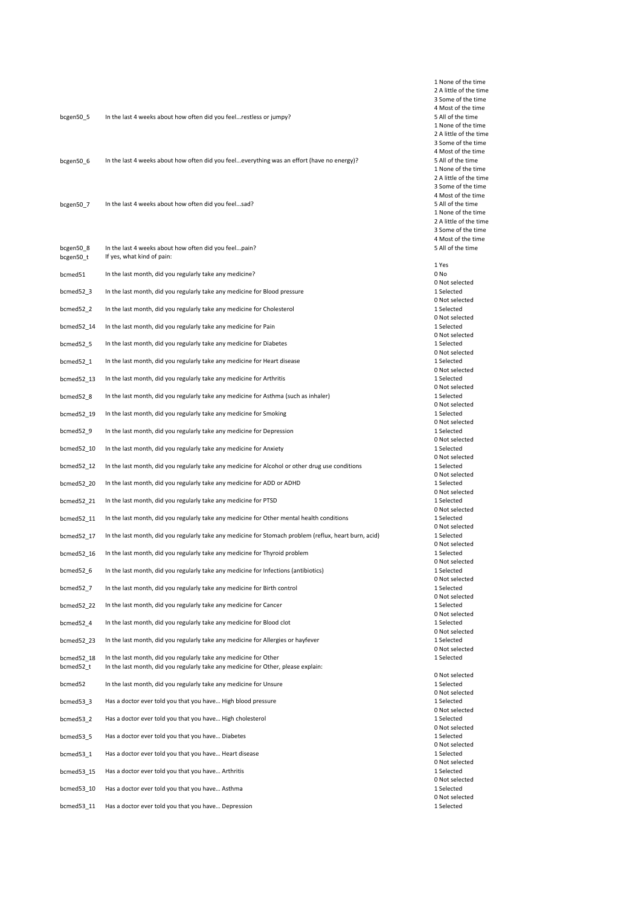| bcgen50_5               | In the last 4 weeks about how often did you feelrestless or jumpy?                                                                                    |
|-------------------------|-------------------------------------------------------------------------------------------------------------------------------------------------------|
| bcgen50_6               | In the last 4 weeks about how often did you feeleverything was an effort (have no energy)?                                                            |
| bcgen50 7               | In the last 4 weeks about how often did you feelsad?                                                                                                  |
| bcgen50_8<br>bcgen50_t  | In the last 4 weeks about how often did you feelpain?<br>If yes, what kind of pain:                                                                   |
| bcmed51                 | In the last month, did you regularly take any medicine?                                                                                               |
| bcmed52_3               | In the last month, did you regularly take any medicine for Blood pressure                                                                             |
| bcmed52_2               | In the last month, did you regularly take any medicine for Cholesterol                                                                                |
| bcmed52_14              | In the last month, did you regularly take any medicine for Pain                                                                                       |
| bcmed52_5               | In the last month, did you regularly take any medicine for Diabetes                                                                                   |
| bcmed52_1               | In the last month, did you regularly take any medicine for Heart disease                                                                              |
| bcmed52 13              | In the last month, did you regularly take any medicine for Arthritis                                                                                  |
| bcmed52 8               | In the last month, did you regularly take any medicine for Asthma (such as inhaler)                                                                   |
| bcmed52_19              | In the last month, did you regularly take any medicine for Smoking                                                                                    |
| bcmed52_9               | In the last month, did you regularly take any medicine for Depression                                                                                 |
| bcmed52_10              | In the last month, did you regularly take any medicine for Anxiety                                                                                    |
| bcmed52_12              | In the last month, did you regularly take any medicine for Alcohol or other drug use conditions                                                       |
| bcmed52_20              | In the last month, did you regularly take any medicine for ADD or ADHD                                                                                |
| bcmed52_21              | In the last month, did you regularly take any medicine for PTSD                                                                                       |
| bcmed52_11              | In the last month, did you regularly take any medicine for Other mental health conditions                                                             |
| bcmed52_17              | In the last month, did you regularly take any medicine for Stomach problem (reflux, heart burn, acid)                                                 |
| bcmed52 16              | In the last month, did you regularly take any medicine for Thyroid problem                                                                            |
| bcmed52_6               | In the last month, did you regularly take any medicine for Infections (antibiotics)                                                                   |
| bcmed52 7               | In the last month, did you regularly take any medicine for Birth control                                                                              |
| bcmed52 22              | In the last month, did you regularly take any medicine for Cancer                                                                                     |
| bcmed52_4               | In the last month, did you regularly take any medicine for Blood clot                                                                                 |
| bcmed52 23              | In the last month, did you regularly take any medicine for Allergies or hayfever                                                                      |
| bcmed52 18<br>bcmed52_t | In the last month, did you regularly take any medicine for Other<br>In the last month, did you regularly take any medicine for Other, please explain: |
| bcmed52                 | In the last month, did you regularly take any medicine for Unsure                                                                                     |
| bcmed53 3               | Has a doctor ever told you that you have High blood pressure                                                                                          |
| bcmed53_2               | Has a doctor ever told you that you have High cholesterol                                                                                             |
| bcmed53_5               | Has a doctor ever told you that you have Diabetes                                                                                                     |
| bcmed53_1               | Has a doctor ever told you that you have Heart disease                                                                                                |
| bcmed53_15              | Has a doctor ever told you that you have Arthritis                                                                                                    |
| bcmed53 10              | Has a doctor ever told you that you have Asthma                                                                                                       |
| bcmed53 11              | Has a doctor ever told you that you have Depression                                                                                                   |

1 None of the time 2 A little of the time 3 Some of the time 4 Most of the time 5 All of the time 1 None of the time 2 A little of the time 3 Some of the time 4 Most of the time 5 All of the time 1 None of the time 2 A little of the time 3 Some of the time 4 Most of the time 5 All of the time 1 None of the time 2 A little of the time 3 Some of the time 4 Most of the time 5 All of the time 1 Yes 0 No 0 Not selected 1 Selected 0 Not selected 1 Selected 0 Not selected 1 Selected 0 Not selected 1 Selected 0 Not selected 1 Selected 0 Not selected 1 Selected 0 Not selected 1 Selected 0 Not selected 1 Selected 0 Not selected 1 Selected 0 Not selected 1 Selected 0 Not selected 1 Selected 0 Not selected 1 Selected 0 Not selected 1 Selected 0 Not selected 1 Selected 0 Not selected 1 Selected 0 Not selected 1 Selected 0 Not selected 1 Selected 0 Not selected 1 Selected 0 Not selected 1 Selected 0 Not selected 1 Selected 0 Not selected 1 Selected 0 Not selected 1 Selected 0 Not selected 1 Selected 0 Not selected 1 Selected 0 Not selected 1 Selected 0 Not selected 1 Selected 0 Not selected 1 Selected 0 Not selected 1 Selected 0 Not selected 1 Selected 0 Not selected 1 Selected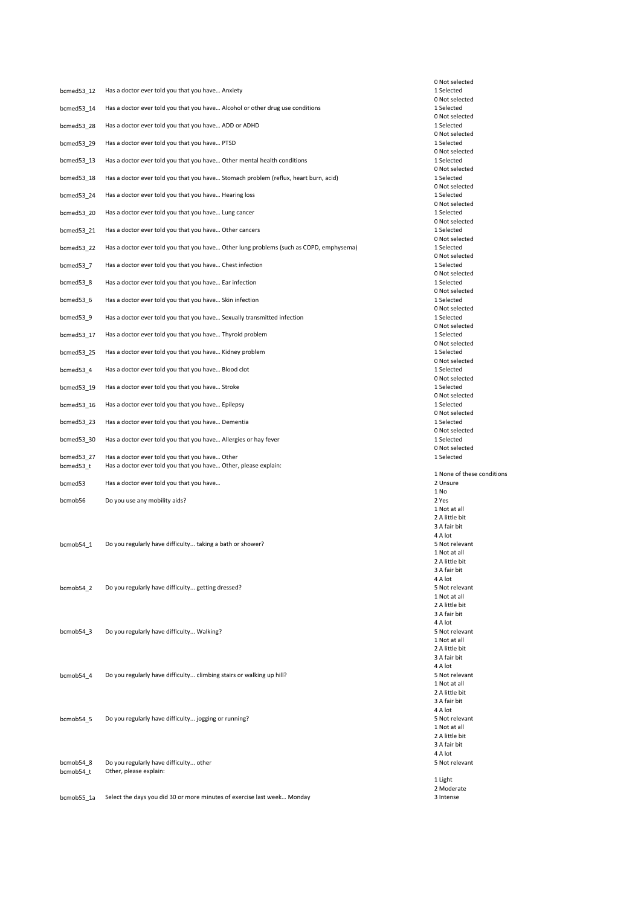| bcmed53_12              | Has a doctor ever told you that you have Anxiety                                                                  |
|-------------------------|-------------------------------------------------------------------------------------------------------------------|
| bcmed53_14              | Has a doctor ever told you that you have Alcohol or other drug use conditions                                     |
| bcmed53_28              | Has a doctor ever told you that you have ADD or ADHD                                                              |
| bcmed53 29              | Has a doctor ever told you that you have PTSD                                                                     |
| bcmed53 13              | Has a doctor ever told you that you have Other mental health conditions                                           |
| bcmed53_18              | Has a doctor ever told you that you have Stomach problem (reflux, heart burn, acid)                               |
| bcmed53_24              | Has a doctor ever told you that you have Hearing loss                                                             |
| bcmed53 20              | Has a doctor ever told you that you have Lung cancer                                                              |
| bcmed53_21              | Has a doctor ever told you that you have Other cancers                                                            |
| bcmed53 22              | Has a doctor ever told you that you have Other lung problems (such as COPD, emphysema)                            |
| bcmed53_7               | Has a doctor ever told you that you have Chest infection                                                          |
| bcmed53_8               | Has a doctor ever told you that you have Ear infection                                                            |
| bcmed53_6               | Has a doctor ever told you that you have Skin infection                                                           |
| bcmed53 9               | Has a doctor ever told you that you have Sexually transmitted infection                                           |
| bcmed53_17              | Has a doctor ever told you that you have Thyroid problem                                                          |
| bcmed53 25              | Has a doctor ever told you that you have Kidney problem                                                           |
| bcmed53 4               | Has a doctor ever told you that you have Blood clot                                                               |
| bcmed53_19              | Has a doctor ever told you that you have Stroke                                                                   |
| bcmed53_16              | Has a doctor ever told you that you have Epilepsy                                                                 |
| bcmed53 23              | Has a doctor ever told you that you have Dementia                                                                 |
| bcmed53_30              | Has a doctor ever told you that you have Allergies or hay fever                                                   |
| bcmed53 27<br>bcmed53_t | Has a doctor ever told you that you have Other<br>Has a doctor ever told you that you have Other, please explain: |
| bcmed53                 | Has a doctor ever told you that you have                                                                          |
| bcmob56                 | Do you use any mobility aids?                                                                                     |
|                         |                                                                                                                   |
| bcmob54 1               | Do you regularly have difficulty taking a bath or shower?                                                         |
|                         |                                                                                                                   |
|                         |                                                                                                                   |
| bcmob54 2               | Do you regularly have difficulty getting dressed?                                                                 |
|                         |                                                                                                                   |
| bcmob54 3               | Do you regularly have difficulty Walking?                                                                         |
|                         |                                                                                                                   |
| bcmob54 4               | Do you regularly have difficulty climbing stairs or walking up hill?                                              |
|                         |                                                                                                                   |
|                         |                                                                                                                   |
| bcmob54_5               | Do you regularly have difficulty jogging or running?                                                              |
|                         |                                                                                                                   |
| bcmob54_8               | Do you regularly have difficulty other                                                                            |
| bcmob54_t               | Other, please explain:                                                                                            |
| bcmob55_1a              | Select the days you did 30 or more minutes of exercise last week Monday                                           |

0 Not selected 1 Selected 0 Not selected 1 Selected 0 Not selected 1 Selected 0 Not selected 1 Selected 0 Not selected 1 Selected 0 Not selected 1 Selected 0 Not selected 1 Selected 0 Not selected 1 Selected 0 Not selected 1 Selected 0 Not selected 1 Selected 0 Not selected 1 Selected 0 Not selected 1 Selected 0 Not selected 1 Selected 0 Not selected 1 Selected 0 Not selected 1 Selected 0 Not selected 1 Selected 0 Not selected 1 Selected 0 Not selected 1 Selected 0 Not selected 1 Selected 0 Not selected 1 Selected 0 Not selected 1 Selected 0 Not selected 1 Selected 1 None of these conditions 2 Unsure 1 No 2 Yes 1 Not at all 2 A little bit 3 A fair bit  $4 A lot$ 5 Not relevant 1 Not at all 2 A little bit 3 A fair bit 4 A lot 5 Not relevant 1 Not at all 2 A little bit 3 A fair bit 4 A lot 5 Not relevant 1 Not at all 2 A little bit 3 A fair bit 4 A lot 5 Not relevant 1 Not at all 2 A little bit 3 A fair bit 4 A lot 5 Not relevant 1 Not at all 2 A little bit 3 A fair bit 4 A lot 5 Not relevant 1 Light 2 Moderate 3 Intense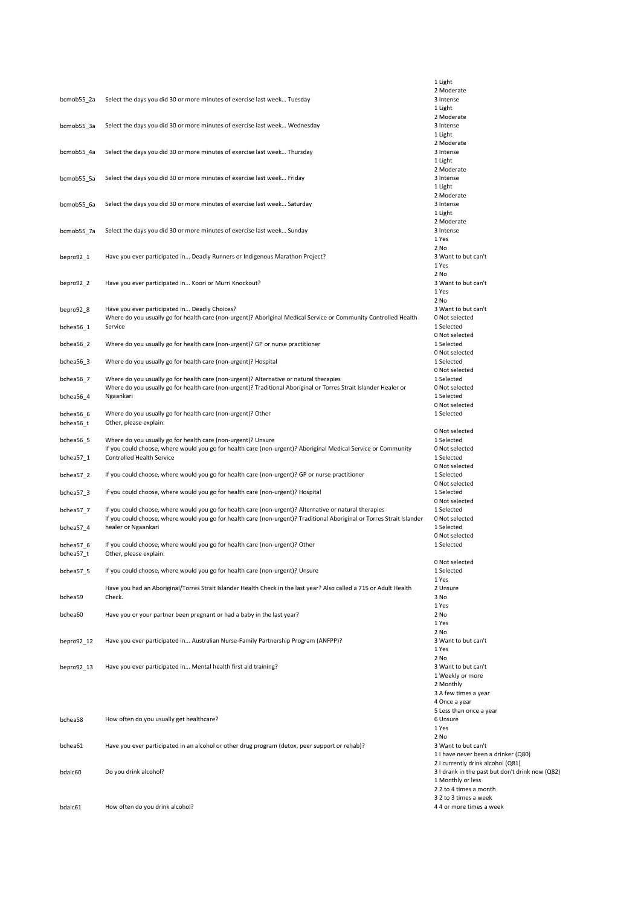|            |                                                                                                                                                   | 1 Light                                                                 |
|------------|---------------------------------------------------------------------------------------------------------------------------------------------------|-------------------------------------------------------------------------|
|            |                                                                                                                                                   | 2 Moderate                                                              |
| bcmob55_2a | Select the days you did 30 or more minutes of exercise last week Tuesday                                                                          | 3 Intense                                                               |
|            |                                                                                                                                                   | 1 Light                                                                 |
|            |                                                                                                                                                   | 2 Moderate                                                              |
| bcmob55_3a | Select the days you did 30 or more minutes of exercise last week Wednesday                                                                        | 3 Intense<br>1 Light                                                    |
|            |                                                                                                                                                   | 2 Moderate                                                              |
| bcmob55_4a | Select the days you did 30 or more minutes of exercise last week Thursday                                                                         | 3 Intense                                                               |
|            |                                                                                                                                                   | 1 Light                                                                 |
|            |                                                                                                                                                   | 2 Moderate                                                              |
| bcmob55_5a | Select the days you did 30 or more minutes of exercise last week Friday                                                                           | 3 Intense                                                               |
|            |                                                                                                                                                   | 1 Light                                                                 |
|            |                                                                                                                                                   | 2 Moderate                                                              |
| bcmob55_6a | Select the days you did 30 or more minutes of exercise last week Saturday                                                                         | 3 Intense<br>1 Light                                                    |
|            |                                                                                                                                                   | 2 Moderate                                                              |
| bcmob55_7a | Select the days you did 30 or more minutes of exercise last week Sunday                                                                           | 3 Intense                                                               |
|            |                                                                                                                                                   | 1 Yes                                                                   |
|            |                                                                                                                                                   | 2 No                                                                    |
| bepro92_1  | Have you ever participated in Deadly Runners or Indigenous Marathon Project?                                                                      | 3 Want to but can't                                                     |
|            |                                                                                                                                                   | 1 Yes                                                                   |
|            |                                                                                                                                                   | 2 No                                                                    |
| bepro92_2  | Have you ever participated in Koori or Murri Knockout?                                                                                            | 3 Want to but can't<br>1 Yes                                            |
|            |                                                                                                                                                   | 2 No                                                                    |
| bepro92_8  | Have you ever participated in Deadly Choices?                                                                                                     | 3 Want to but can't                                                     |
|            | Where do you usually go for health care (non-urgent)? Aboriginal Medical Service or Community Controlled Health                                   | 0 Not selected                                                          |
| bchea56 1  | Service                                                                                                                                           | 1 Selected                                                              |
|            |                                                                                                                                                   | 0 Not selected                                                          |
| bchea56 2  | Where do you usually go for health care (non-urgent)? GP or nurse practitioner                                                                    | 1 Selected                                                              |
|            |                                                                                                                                                   | 0 Not selected                                                          |
| bchea56_3  | Where do you usually go for health care (non-urgent)? Hospital                                                                                    | 1 Selected                                                              |
| bchea56_7  | Where do you usually go for health care (non-urgent)? Alternative or natural therapies                                                            | 0 Not selected<br>1 Selected                                            |
|            | Where do you usually go for health care (non-urgent)? Traditional Aboriginal or Torres Strait Islander Healer or                                  | 0 Not selected                                                          |
| bchea56_4  | Ngaankari                                                                                                                                         | 1 Selected                                                              |
|            |                                                                                                                                                   | 0 Not selected                                                          |
| bchea56 6  | Where do you usually go for health care (non-urgent)? Other                                                                                       | 1 Selected                                                              |
| bchea56_t  | Other, please explain:                                                                                                                            |                                                                         |
|            |                                                                                                                                                   | 0 Not selected                                                          |
| bchea56_5  | Where do you usually go for health care (non-urgent)? Unsure                                                                                      | 1 Selected                                                              |
| bchea57_1  | If you could choose, where would you go for health care (non-urgent)? Aboriginal Medical Service or Community<br><b>Controlled Health Service</b> | 0 Not selected<br>1 Selected                                            |
|            |                                                                                                                                                   | 0 Not selected                                                          |
| bchea57_2  | If you could choose, where would you go for health care (non-urgent)? GP or nurse practitioner                                                    | 1 Selected                                                              |
|            |                                                                                                                                                   | 0 Not selected                                                          |
| bchea57_3  | If you could choose, where would you go for health care (non-urgent)? Hospital                                                                    | 1 Selected                                                              |
|            |                                                                                                                                                   | 0 Not selected                                                          |
| bchea57_7  | If you could choose, where would you go for health care (non-urgent)? Alternative or natural therapies                                            | 1 Selected                                                              |
| bchea57 4  | If you could choose, where would you go for health care (non-urgent)? Traditional Aboriginal or Torres Strait Islander<br>healer or Ngaankari     | 0 Not selected<br>1 Selected                                            |
|            |                                                                                                                                                   | 0 Not selected                                                          |
| bchea57_6  | If you could choose, where would you go for health care (non-urgent)? Other                                                                       | 1 Selected                                                              |
| bchea57_t  | Other, please explain:                                                                                                                            |                                                                         |
|            |                                                                                                                                                   | 0 Not selected                                                          |
| bchea57 5  | If you could choose, where would you go for health care (non-urgent)? Unsure                                                                      | 1 Selected                                                              |
|            |                                                                                                                                                   | 1 Yes                                                                   |
|            | Have you had an Aboriginal/Torres Strait Islander Health Check in the last year? Also called a 715 or Adult Health                                | 2 Unsure                                                                |
| bchea59    | Check.                                                                                                                                            | 3 No<br>1 Yes                                                           |
| bchea60    | Have you or your partner been pregnant or had a baby in the last year?                                                                            | 2 No                                                                    |
|            |                                                                                                                                                   | 1 Yes                                                                   |
|            |                                                                                                                                                   | 2 No                                                                    |
| bepro92_12 | Have you ever participated in Australian Nurse-Family Partnership Program (ANFPP)?                                                                | 3 Want to but can't                                                     |
|            |                                                                                                                                                   | 1 Yes                                                                   |
|            |                                                                                                                                                   | 2 No                                                                    |
| bepro92 13 | Have you ever participated in Mental health first aid training?                                                                                   | 3 Want to but can't                                                     |
|            |                                                                                                                                                   | 1 Weekly or more<br>2 Monthly                                           |
|            |                                                                                                                                                   | 3 A few times a year                                                    |
|            |                                                                                                                                                   | 4 Once a year                                                           |
|            |                                                                                                                                                   | 5 Less than once a year                                                 |
| bchea58    | How often do you usually get healthcare?                                                                                                          | 6 Unsure                                                                |
|            |                                                                                                                                                   | 1 Yes                                                                   |
|            |                                                                                                                                                   | 2 No                                                                    |
| bchea61    | Have you ever participated in an alcohol or other drug program (detox, peer support or rehab)?                                                    | 3 Want to but can't                                                     |
|            |                                                                                                                                                   | 11 have never been a drinker (Q80)<br>2 I currently drink alcohol (Q81) |
| bdalc60    | Do you drink alcohol?                                                                                                                             | 3 I drank in the past but don't drink now (Q82)                         |
|            |                                                                                                                                                   | 1 Monthly or less                                                       |
|            |                                                                                                                                                   | 2 2 to 4 times a month                                                  |
|            |                                                                                                                                                   | 3 2 to 3 times a week                                                   |
| bdalc61    | How often do you drink alcohol?                                                                                                                   | 4 4 or more times a week                                                |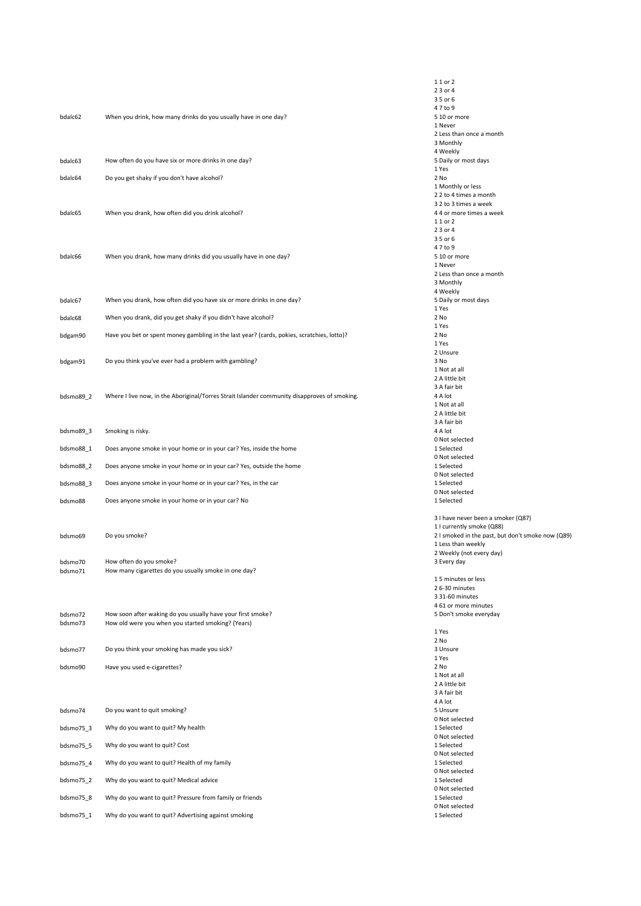| bdalc62                       | When you drink, how many drinks do you usually have in one day?                                                   | 1 1 or 2<br>23 or 4<br>35 or 6<br>47 to 9<br>5 10 or more<br>1 Never<br>2 Less than once a month<br>3 Monthly                                                                         |
|-------------------------------|-------------------------------------------------------------------------------------------------------------------|---------------------------------------------------------------------------------------------------------------------------------------------------------------------------------------|
| bdalc63                       | How often do you have six or more drinks in one day?                                                              | 4 Weekly<br>5 Daily or most days                                                                                                                                                      |
|                               |                                                                                                                   | 1 Yes                                                                                                                                                                                 |
| bdalc64<br>bdalc65            | Do you get shaky if you don't have alcohol?<br>When you drank, how often did you drink alcohol?                   | 2 No<br>1 Monthly or less<br>2 2 to 4 times a month<br>3 2 to 3 times a week<br>4 4 or more times a week<br>1 1 or 2<br>23 or 4                                                       |
| bdalc66                       | When you drank, how many drinks did you usually have in one day?                                                  | 35 or 6<br>47 to 9<br>5 10 or more<br>1 Never<br>2 Less than once a month<br>3 Monthly                                                                                                |
| bdalc67                       | When you drank, how often did you have six or more drinks in one day?                                             | 4 Weekly<br>5 Daily or most days<br>1 Yes                                                                                                                                             |
| bdalc68                       | When you drank, did you get shaky if you didn't have alcohol?                                                     | 2 No                                                                                                                                                                                  |
| bdgam90                       | Have you bet or spent money gambling in the last year? (cards, pokies, scratchies, lotto)?                        | 1 Yes<br>2 No<br>1 Yes                                                                                                                                                                |
| bdgam91                       | Do you think you've ever had a problem with gambling?                                                             | 2 Unsure<br>3 No                                                                                                                                                                      |
| bdsmo89_2                     | Where I live now, in the Aboriginal/Torres Strait Islander community disapproves of smoking.                      | 1 Not at all<br>2 A little bit<br>3 A fair bit<br>4 A lot<br>1 Not at all<br>2 A little bit                                                                                           |
| bdsmo89_3                     | Smoking is risky.                                                                                                 | 3 A fair bit<br>4 A lot                                                                                                                                                               |
| bdsmo88_1                     | Does anyone smoke in your home or in your car? Yes, inside the home                                               | 0 Not selected<br>1 Selected                                                                                                                                                          |
| bdsmo88_2                     | Does anyone smoke in your home or in your car? Yes, outside the home                                              | 0 Not selected<br>1 Selected                                                                                                                                                          |
| bdsmo88_3                     | Does anyone smoke in your home or in your car? Yes, in the car                                                    | 0 Not selected<br>1 Selected                                                                                                                                                          |
| bdsmo88                       | Does anyone smoke in your home or in your car? No                                                                 | 0 Not selected<br>1 Selected                                                                                                                                                          |
| bdsmo69<br>bdsmo70<br>bdsmo71 | Do you smoke?<br>How often do you smoke?<br>How many cigarettes do you usually smoke in one day?                  | 3 I have never been a smoker (Q87)<br>1 I currently smoke (Q88)<br>2 I smoked in the past, but don't smoke now (Q89)<br>1 Less than weekly<br>2 Weekly (not every day)<br>3 Every day |
|                               |                                                                                                                   | 15 minutes or less<br>26--30 minutes<br>3 31-60 minutes<br>4 61 or more minutes                                                                                                       |
| bdsmo72<br>bdsmo73            | How soon after waking do you usually have your first smoke?<br>How old were you when you started smoking? (Years) | 5 Don't smoke everyday<br>1 Yes                                                                                                                                                       |
| bdsmo77                       | Do you think your smoking has made you sick?                                                                      | 2 No<br>3 Unsure                                                                                                                                                                      |
| bdsmo90                       | Have you used e-cigarettes?                                                                                       | 1 Yes<br>2 No<br>1 Not at all                                                                                                                                                         |
|                               |                                                                                                                   | 2 A little bit<br>3 A fair bit<br>4 A lot                                                                                                                                             |
| bdsmo74                       | Do you want to quit smoking?                                                                                      | 5 Unsure<br>0 Not selected                                                                                                                                                            |
| bdsmo75 3                     | Why do you want to quit? My health                                                                                | 1 Selected<br>0 Not selected                                                                                                                                                          |
| bdsmo75_5                     | Why do you want to quit? Cost                                                                                     | 1 Selected<br>0 Not selected                                                                                                                                                          |
| bdsmo75_4                     | Why do you want to quit? Health of my family                                                                      | 1 Selected<br>0 Not selected                                                                                                                                                          |
| bdsmo75_2                     | Why do you want to quit? Medical advice                                                                           | 1 Selected<br>0 Not selected                                                                                                                                                          |
| bdsmo75_8                     | Why do you want to quit? Pressure from family or friends                                                          | 1 Selected<br>0 Not selected                                                                                                                                                          |
| bdsmo75_1                     | Why do you want to quit? Advertising against smoking                                                              | 1 Selected                                                                                                                                                                            |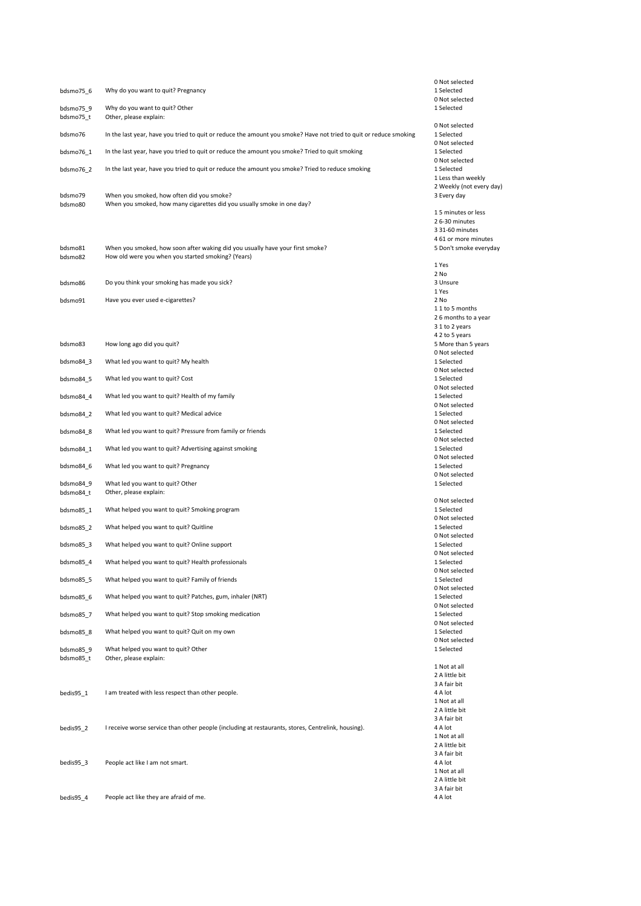|                        |                                                                                                                     | 0 Not selected                                 |
|------------------------|---------------------------------------------------------------------------------------------------------------------|------------------------------------------------|
| bdsmo75_6              | Why do you want to quit? Pregnancy                                                                                  | 1 Selected<br>0 Not selected                   |
| bdsmo75 9<br>bdsmo75_t | Why do you want to quit? Other<br>Other, please explain:                                                            | 1 Selected                                     |
| bdsmo76                | In the last year, have you tried to quit or reduce the amount you smoke? Have not tried to quit or reduce smoking   | 0 Not selected<br>1 Selected                   |
| bdsmo76 1              | In the last year, have you tried to quit or reduce the amount you smoke? Tried to quit smoking                      | 0 Not selected<br>1 Selected                   |
| bdsmo76_2              | In the last year, have you tried to quit or reduce the amount you smoke? Tried to reduce smoking                    | 0 Not selected<br>1 Selected                   |
|                        |                                                                                                                     | 1 Less than weekly<br>2 Weekly (not every day) |
| bdsmo79<br>bdsmo80     | When you smoked, how often did you smoke?<br>When you smoked, how many cigarettes did you usually smoke in one day? | 3 Every day                                    |
|                        |                                                                                                                     | 15 minutes or less                             |
|                        |                                                                                                                     | 26--30 minutes                                 |
|                        |                                                                                                                     | 3 31-60 minutes<br>4 61 or more minutes        |
| bdsmo81                | When you smoked, how soon after waking did you usually have your first smoke?                                       | 5 Don't smoke everyday                         |
| bdsmo82                | How old were you when you started smoking? (Years)                                                                  |                                                |
|                        |                                                                                                                     | 1 Yes<br>2 No                                  |
| bdsmo86                | Do you think your smoking has made you sick?                                                                        | 3 Unsure                                       |
|                        |                                                                                                                     | 1 Yes                                          |
| bdsmo91                | Have you ever used e-cigarettes?                                                                                    | 2 No                                           |
|                        |                                                                                                                     | 11 to 5 months<br>26 months to a year          |
|                        |                                                                                                                     | 3 1 to 2 years                                 |
|                        |                                                                                                                     | 4 2 to 5 years                                 |
| bdsmo83                | How long ago did you quit?                                                                                          | 5 More than 5 years                            |
| bdsmo84 3              | What led you want to quit? My health                                                                                | 0 Not selected<br>1 Selected                   |
|                        |                                                                                                                     | 0 Not selected                                 |
| bdsmo84_5              | What led you want to quit? Cost                                                                                     | 1 Selected                                     |
| bdsmo84_4              | What led you want to quit? Health of my family                                                                      | 0 Not selected<br>1 Selected                   |
|                        |                                                                                                                     | 0 Not selected                                 |
| bdsmo84 2              | What led you want to quit? Medical advice                                                                           | 1 Selected<br>0 Not selected                   |
| bdsmo84_8              | What led you want to quit? Pressure from family or friends                                                          | 1 Selected                                     |
| bdsmo84_1              | What led you want to quit? Advertising against smoking                                                              | 0 Not selected<br>1 Selected                   |
| bdsmo84 6              | What led you want to quit? Pregnancy                                                                                | 0 Not selected<br>1 Selected                   |
| bdsmo84 9              | What led you want to quit? Other                                                                                    | 0 Not selected<br>1 Selected                   |
| bdsmo84_t              | Other, please explain:                                                                                              | 0 Not selected                                 |
| bdsmo85 1              | What helped you want to quit? Smoking program                                                                       | 1 Selected                                     |
| bdsmo85 2              | What helped you want to quit? Quitline                                                                              | 0 Not selected<br>1 Selected                   |
| bdsmo85 3              | What helped you want to quit? Online support                                                                        | 0 Not selected<br>1 Selected                   |
|                        |                                                                                                                     | 0 Not selected                                 |
| bdsmo85 4              | What helped you want to quit? Health professionals                                                                  | 1 Selected<br>0 Not selected                   |
| bdsmo85 5              | What helped you want to quit? Family of friends                                                                     | 1 Selected                                     |
| bdsmo85 6              | What helped you want to quit? Patches, gum, inhaler (NRT)                                                           | 0 Not selected<br>1 Selected                   |
|                        |                                                                                                                     | 0 Not selected                                 |
| bdsmo85 7              | What helped you want to quit? Stop smoking medication                                                               | 1 Selected                                     |
| bdsmo85 8              | What helped you want to quit? Quit on my own                                                                        | 0 Not selected<br>1 Selected                   |
|                        |                                                                                                                     | 0 Not selected                                 |
| bdsmo85 9<br>bdsmo85 t | What helped you want to quit? Other<br>Other, please explain:                                                       | 1 Selected                                     |
|                        |                                                                                                                     | 1 Not at all                                   |
|                        |                                                                                                                     | 2 A little bit<br>3 A fair bit                 |
| bedis95 1              | I am treated with less respect than other people.                                                                   | 4 A lot                                        |
|                        |                                                                                                                     | 1 Not at all                                   |
|                        |                                                                                                                     | 2 A little bit                                 |
| bedis95 2              | I receive worse service than other people (including at restaurants, stores, Centrelink, housing).                  | 3 A fair bit<br>4 A lot                        |
|                        |                                                                                                                     | 1 Not at all                                   |
|                        |                                                                                                                     | 2 A little bit                                 |
| bedis95 3              | People act like I am not smart.                                                                                     | 3 A fair bit<br>4 A lot                        |
|                        |                                                                                                                     | 1 Not at all                                   |
|                        |                                                                                                                     | 2 A little bit                                 |
|                        |                                                                                                                     | 3 A fair bit                                   |
| bedis95 4              | People act like they are afraid of me.                                                                              | 4 A lot                                        |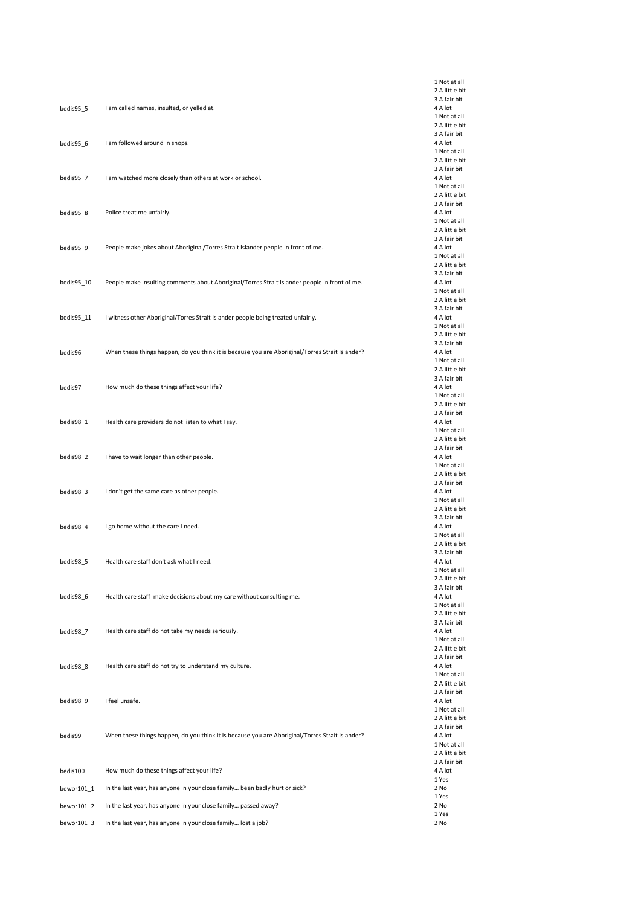|             |                                                                                                 | 1 Not at all<br>2 A little bit |
|-------------|-------------------------------------------------------------------------------------------------|--------------------------------|
|             |                                                                                                 | 3 A fair bit                   |
| bedis95_5   | I am called names, insulted, or yelled at.                                                      | 4 A lot                        |
|             |                                                                                                 | 1 Not at all                   |
|             |                                                                                                 | 2 A little bit<br>3 A fair bit |
| bedis95 6   | I am followed around in shops.                                                                  | 4 A lot                        |
|             |                                                                                                 | 1 Not at all                   |
|             |                                                                                                 | 2 A little bit                 |
|             |                                                                                                 | 3 A fair bit                   |
| bedis95_7   | I am watched more closely than others at work or school.                                        | 4 A lot<br>1 Not at all        |
|             |                                                                                                 | 2 A little bit                 |
|             |                                                                                                 | 3 A fair bit                   |
| bedis95_8   | Police treat me unfairly.                                                                       | 4 A lot                        |
|             |                                                                                                 | 1 Not at all                   |
|             |                                                                                                 | 2 A little bit<br>3 A fair bit |
| bedis95_9   | People make jokes about Aboriginal/Torres Strait Islander people in front of me.                | 4 A lot                        |
|             |                                                                                                 | 1 Not at all                   |
|             |                                                                                                 | 2 A little bit                 |
|             |                                                                                                 | 3 A fair bit                   |
| bedis95_10  | People make insulting comments about Aboriginal/Torres Strait Islander people in front of me.   | 4 A lot<br>1 Not at all        |
|             |                                                                                                 | 2 A little bit                 |
|             |                                                                                                 | 3 A fair bit                   |
| bedis95_11  | I witness other Aboriginal/Torres Strait Islander people being treated unfairly.                | 4 A lot                        |
|             |                                                                                                 | 1 Not at all                   |
|             |                                                                                                 | 2 A little bit<br>3 A fair bit |
| bedis96     | When these things happen, do you think it is because you are Aboriginal/Torres Strait Islander? | 4 A lot                        |
|             |                                                                                                 | 1 Not at all                   |
|             |                                                                                                 | 2 A little bit                 |
|             |                                                                                                 | 3 A fair bit                   |
| bedis97     | How much do these things affect your life?                                                      | 4 A lot<br>1 Not at all        |
|             |                                                                                                 | 2 A little bit                 |
|             |                                                                                                 | 3 A fair bit                   |
| bedis98_1   | Health care providers do not listen to what I say.                                              | 4 A lot                        |
|             |                                                                                                 | 1 Not at all                   |
|             |                                                                                                 | 2 A little bit<br>3 A fair bit |
| bedis98_2   | I have to wait longer than other people.                                                        | 4 A lot                        |
|             |                                                                                                 | 1 Not at all                   |
|             |                                                                                                 | 2 A little bit                 |
|             |                                                                                                 | 3 A fair bit                   |
| bedis98_3   | I don't get the same care as other people.                                                      | 4 A lot<br>1 Not at all        |
|             |                                                                                                 | 2 A little bit                 |
|             |                                                                                                 | 3 A fair bit                   |
| bedis98_4   | I go home without the care I need.                                                              | 4 A lot                        |
|             |                                                                                                 | 1 Not at all                   |
|             |                                                                                                 | 2 A little bit<br>3 A fair bit |
| $bedis98_5$ | Health care staff don't ask what I need.                                                        | 4 A lot                        |
|             |                                                                                                 | 1 Not at all                   |
|             |                                                                                                 | 2 A little bit                 |
|             |                                                                                                 | 3 A fair bit                   |
| bedis98_6   | Health care staff make decisions about my care without consulting me.                           | 4 A lot<br>1 Not at all        |
|             |                                                                                                 | 2 A little bit                 |
|             |                                                                                                 | 3 A fair bit                   |
| bedis98 7   | Health care staff do not take my needs seriously.                                               | 4 A lot                        |
|             |                                                                                                 | 1 Not at all                   |
|             |                                                                                                 | 2 A little bit<br>3 A fair bit |
| bedis98_8   | Health care staff do not try to understand my culture.                                          | 4 A lot                        |
|             |                                                                                                 | 1 Not at all                   |
|             |                                                                                                 | 2 A little bit                 |
| bedis98 9   | I feel unsafe.                                                                                  | 3 A fair bit<br>4 A lot        |
|             |                                                                                                 | 1 Not at all                   |
|             |                                                                                                 | 2 A little bit                 |
|             |                                                                                                 | 3 A fair bit                   |
| bedis99     | When these things happen, do you think it is because you are Aboriginal/Torres Strait Islander? | 4 A lot                        |
|             |                                                                                                 | 1 Not at all<br>2 A little bit |
|             |                                                                                                 | 3 A fair bit                   |
| bedis100    | How much do these things affect your life?                                                      | 4 A lot                        |
|             |                                                                                                 | 1 Yes                          |
| bewor101_1  | In the last year, has anyone in your close family been badly hurt or sick?                      | 2 No                           |
| bewor101_2  | In the last year, has anyone in your close family passed away?                                  | 1 Yes<br>2 No                  |
|             |                                                                                                 | 1 Yes                          |
| bewor101_3  | In the last year, has anyone in your close family lost a job?                                   | 2 No                           |
|             |                                                                                                 |                                |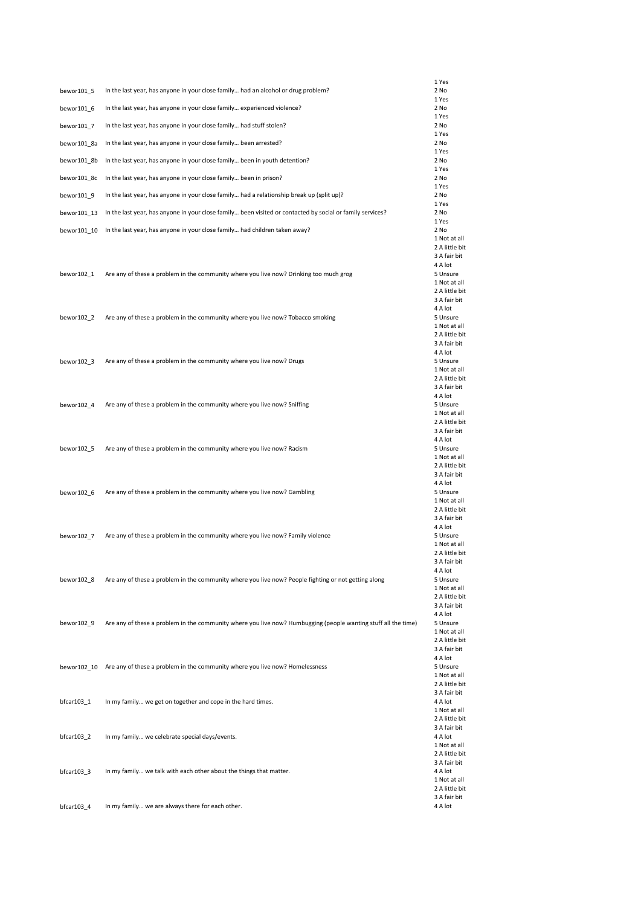|             |                                                                                                                | 1 Yes                          |
|-------------|----------------------------------------------------------------------------------------------------------------|--------------------------------|
| bewor101_5  | In the last year, has anyone in your close family had an alcohol or drug problem?                              | 2 No                           |
|             |                                                                                                                | 1 Yes                          |
| bewor101 6  | In the last year, has anyone in your close family experienced violence?                                        | 2 No<br>1 Yes                  |
| bewor101 7  | In the last year, has anyone in your close family had stuff stolen?                                            | 2 No                           |
|             |                                                                                                                | 1 Yes                          |
| bewor101_8a | In the last year, has anyone in your close family been arrested?                                               | 2 No<br>1 Yes                  |
| bewor101 8b | In the last year, has anyone in your close family been in youth detention?                                     | 2 No                           |
|             |                                                                                                                | 1 Yes                          |
| bewor101 8c | In the last year, has anyone in your close family been in prison?                                              | 2 No<br>1 Yes                  |
| bewor101 9  | In the last year, has anyone in your close family had a relationship break up (split up)?                      | 2 No                           |
|             |                                                                                                                | 1 Yes                          |
| bewor101 13 | In the last year, has anyone in your close family been visited or contacted by social or family services?      | 2 No<br>1 Yes                  |
| bewor101 10 | In the last year, has anyone in your close family had children taken away?                                     | 2 No                           |
|             |                                                                                                                | 1 Not at all<br>2 A little bit |
|             |                                                                                                                | 3 A fair bit                   |
|             |                                                                                                                | 4 A lot                        |
| bewor102 1  | Are any of these a problem in the community where you live now? Drinking too much grog                         | 5 Unsure<br>1 Not at all       |
|             |                                                                                                                | 2 A little bit                 |
|             |                                                                                                                | 3 A fair bit                   |
| bewor102 2  | Are any of these a problem in the community where you live now? Tobacco smoking                                | 4 A lot<br>5 Unsure            |
|             |                                                                                                                | 1 Not at all                   |
|             |                                                                                                                | 2 A little bit                 |
|             |                                                                                                                | 3 A fair bit<br>4 A lot        |
| bewor102 3  | Are any of these a problem in the community where you live now? Drugs                                          | 5 Unsure                       |
|             |                                                                                                                | 1 Not at all                   |
|             |                                                                                                                | 2 A little bit<br>3 A fair bit |
|             |                                                                                                                | 4 A lot                        |
| bewor102 4  | Are any of these a problem in the community where you live now? Sniffing                                       | 5 Unsure                       |
|             |                                                                                                                | 1 Not at all<br>2 A little bit |
|             |                                                                                                                | 3 A fair bit                   |
|             |                                                                                                                | 4 A lot                        |
| bewor102 5  | Are any of these a problem in the community where you live now? Racism                                         | 5 Unsure<br>1 Not at all       |
|             |                                                                                                                | 2 A little bit                 |
|             |                                                                                                                | 3 A fair bit<br>4 A lot        |
| bewor102 6  | Are any of these a problem in the community where you live now? Gambling                                       | 5 Unsure                       |
|             |                                                                                                                | 1 Not at all                   |
|             |                                                                                                                | 2 A little bit<br>3 A fair bit |
|             |                                                                                                                | 4 A lot                        |
| bewor102 7  | Are any of these a problem in the community where you live now? Family violence                                | 5 Unsure                       |
|             |                                                                                                                | 1 Not at all<br>2 A little bit |
|             |                                                                                                                | 3 A fair bit                   |
|             |                                                                                                                | 4 A lot                        |
| bewor102_8  | Are any of these a problem in the community where you live now? People fighting or not getting along           | 5 Unsure<br>1 Not at all       |
|             |                                                                                                                | 2 A little bit                 |
|             |                                                                                                                | 3 A fair bit                   |
| bewor102 9  | Are any of these a problem in the community where you live now? Humbugging (people wanting stuff all the time) | 4 A lot<br>5 Unsure            |
|             |                                                                                                                | 1 Not at all                   |
|             |                                                                                                                | 2 A little bit                 |
|             |                                                                                                                | 3 A fair bit<br>4 A lot        |
|             | bewor102 10 Are any of these a problem in the community where you live now? Homelessness                       | 5 Unsure                       |
|             |                                                                                                                | 1 Not at all                   |
|             |                                                                                                                | 2 A little bit<br>3 A fair bit |
| bfcar103_1  | In my family we get on together and cope in the hard times.                                                    | 4 A lot                        |
|             |                                                                                                                | 1 Not at all<br>2 A little bit |
|             |                                                                                                                | 3 A fair bit                   |
| bfcar103_2  | In my family we celebrate special days/events.                                                                 | 4 A lot                        |
|             |                                                                                                                | 1 Not at all<br>2 A little bit |
|             |                                                                                                                | 3 A fair bit                   |
| bfcar103_3  | In my family we talk with each other about the things that matter.                                             | 4 A lot                        |
|             |                                                                                                                | 1 Not at all<br>2 A little bit |
|             |                                                                                                                | 3 A fair bit                   |
| bfcar103 4  | In my family we are always there for each other.                                                               | 4 A lot                        |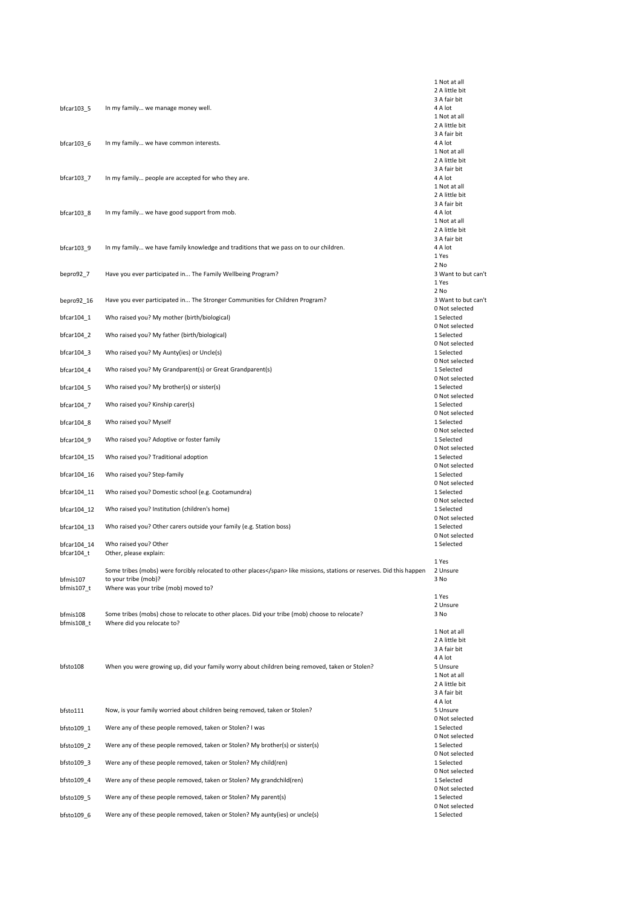|                        |                                                                                                                 | 1 Not at all                          |
|------------------------|-----------------------------------------------------------------------------------------------------------------|---------------------------------------|
|                        |                                                                                                                 | 2 A little bit                        |
| bfcar103_5             | In my family we manage money well.                                                                              | 3 A fair bit<br>4 A lot               |
|                        |                                                                                                                 | 1 Not at all                          |
|                        |                                                                                                                 | 2 A little bit                        |
| bfcar103_6             | In my family we have common interests.                                                                          | 3 A fair bit<br>4 A lot               |
|                        |                                                                                                                 | 1 Not at all                          |
|                        |                                                                                                                 | 2 A little bit                        |
| bfcar103_7             | In my family people are accepted for who they are.                                                              | 3 A fair bit<br>4 A lot               |
|                        |                                                                                                                 | 1 Not at all                          |
|                        |                                                                                                                 | 2 A little bit                        |
| bfcar103_8             | In my family we have good support from mob.                                                                     | 3 A fair bit<br>4 A lot               |
|                        |                                                                                                                 | 1 Not at all                          |
|                        |                                                                                                                 | 2 A little bit<br>3 A fair bit        |
| bfcar103 9             | In my family we have family knowledge and traditions that we pass on to our children.                           | 4 A lot                               |
|                        |                                                                                                                 | 1 Yes                                 |
|                        | Have you ever participated in The Family Wellbeing Program?                                                     | 2 No<br>3 Want to but can't           |
| bepro92_7              |                                                                                                                 | 1 Yes                                 |
|                        |                                                                                                                 | 2 No                                  |
| bepro92_16             | Have you ever participated in The Stronger Communities for Children Program?                                    | 3 Want to but can't<br>0 Not selected |
| bfcar104_1             | Who raised you? My mother (birth/biological)                                                                    | 1 Selected                            |
|                        |                                                                                                                 | 0 Not selected                        |
| bfcar104_2             | Who raised you? My father (birth/biological)                                                                    | 1 Selected<br>0 Not selected          |
| bfcar104_3             | Who raised you? My Aunty(ies) or Uncle(s)                                                                       | 1 Selected                            |
|                        |                                                                                                                 | 0 Not selected<br>1 Selected          |
| bfcar104_4             | Who raised you? My Grandparent(s) or Great Grandparent(s)                                                       | 0 Not selected                        |
| bfcar104_5             | Who raised you? My brother(s) or sister(s)                                                                      | 1 Selected                            |
| bfcar104_7             | Who raised you? Kinship carer(s)                                                                                | 0 Not selected<br>1 Selected          |
|                        |                                                                                                                 | 0 Not selected                        |
| bfcar104_8             | Who raised you? Myself                                                                                          | 1 Selected<br>0 Not selected          |
| bfcar104_9             | Who raised you? Adoptive or foster family                                                                       | 1 Selected                            |
| bfcar104_15            | Who raised you? Traditional adoption                                                                            | 0 Not selected<br>1 Selected          |
| bfcar104_16            | Who raised you? Step-family                                                                                     | 0 Not selected<br>1 Selected          |
| bfcar104_11            | Who raised you? Domestic school (e.g. Cootamundra)                                                              | 0 Not selected<br>1 Selected          |
| bfcar104_12            | Who raised you? Institution (children's home)                                                                   | 0 Not selected<br>1 Selected          |
|                        |                                                                                                                 | 0 Not selected                        |
| bfcar104_13            | Who raised you? Other carers outside your family (e.g. Station boss)                                            | 1 Selected<br>0 Not selected          |
| bfcar104 14            | Who raised you? Other<br>Other, please explain:                                                                 | 1 Selected                            |
| bfcar104_t             |                                                                                                                 | 1 Yes                                 |
|                        | Some tribes (mobs) were forcibly relocated to other places like missions, stations or reserves. Did this happen | 2 Unsure                              |
| bfmis107<br>bfmis107_t | to your tribe (mob)?<br>Where was your tribe (mob) moved to?                                                    | 3 No                                  |
|                        |                                                                                                                 | 1 Yes                                 |
| bfmis108               | Some tribes (mobs) chose to relocate to other places. Did your tribe (mob) choose to relocate?                  | 2 Unsure<br>3 No                      |
| bfmis108_t             | Where did you relocate to?                                                                                      |                                       |
|                        |                                                                                                                 | 1 Not at all<br>2 A little bit        |
|                        |                                                                                                                 | 3 A fair bit                          |
|                        |                                                                                                                 | 4 A lot                               |
| bfsto108               | When you were growing up, did your family worry about children being removed, taken or Stolen?                  | 5 Unsure<br>1 Not at all              |
|                        |                                                                                                                 | 2 A little bit                        |
|                        |                                                                                                                 | 3 A fair bit                          |
| bfsto111               | Now, is your family worried about children being removed, taken or Stolen?                                      | 4 A lot<br>5 Unsure                   |
|                        |                                                                                                                 | 0 Not selected                        |
| bfsto109_1             | Were any of these people removed, taken or Stolen? I was                                                        | 1 Selected<br>0 Not selected          |
| bfsto109_2             | Were any of these people removed, taken or Stolen? My brother(s) or sister(s)                                   | 1 Selected<br>0 Not selected          |
| bfsto109 3             | Were any of these people removed, taken or Stolen? My child(ren)                                                | 1 Selected                            |
| bfsto109_4             | Were any of these people removed, taken or Stolen? My grandchild(ren)                                           | 0 Not selected<br>1 Selected          |
| bfsto109 5             | Were any of these people removed, taken or Stolen? My parent(s)                                                 | 0 Not selected<br>1 Selected          |
| bfsto109 6             | Were any of these people removed, taken or Stolen? My aunty(ies) or uncle(s)                                    | 0 Not selected<br>1 Selected          |